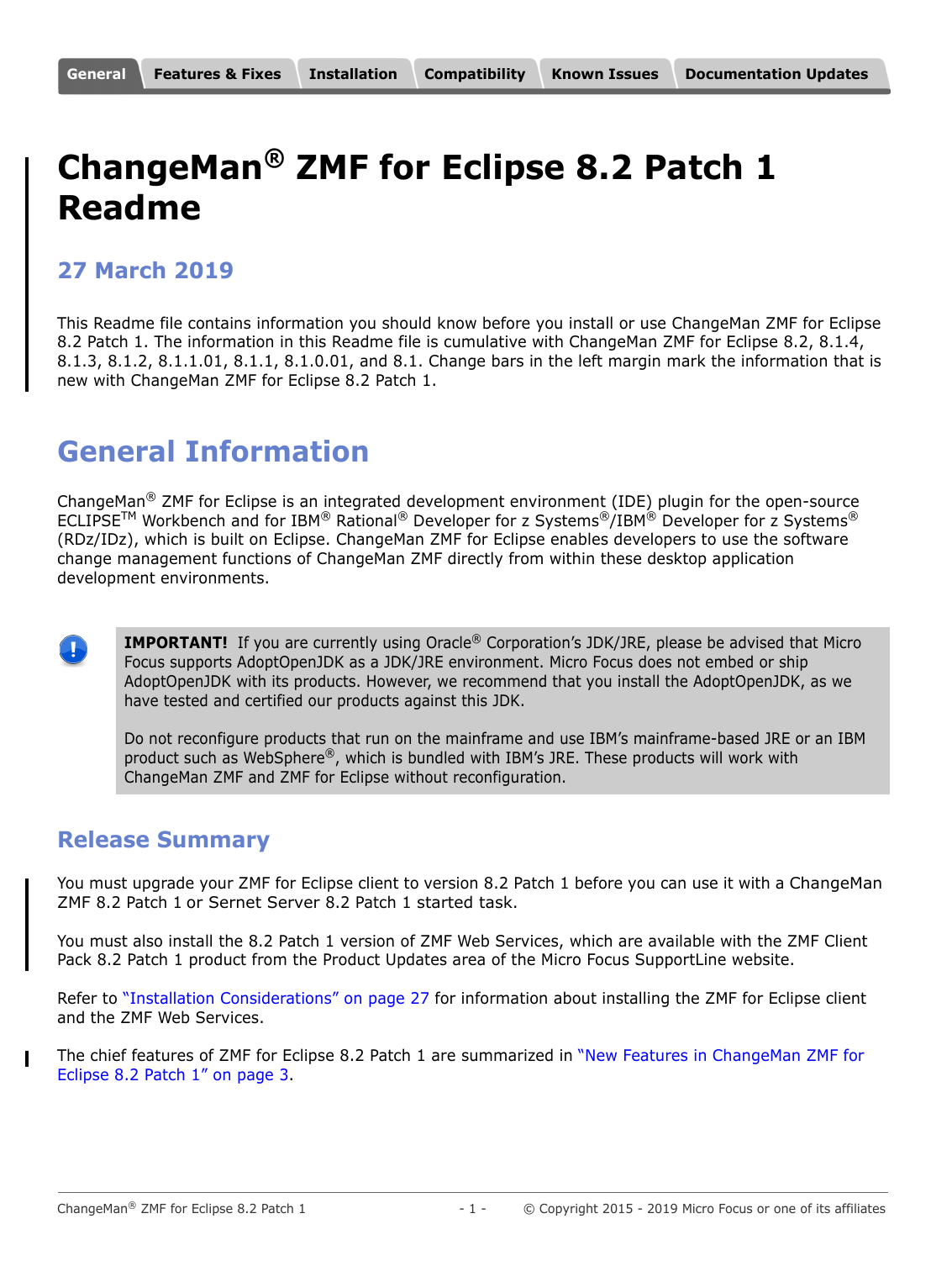# <span id="page-0-0"></span>**ChangeMan® ZMF for Eclipse 8.2 Patch 1 Readme**

# **27 March 2019**

This Readme file contains information you should know before you install or use ChangeMan ZMF for Eclipse 8.2 Patch 1. The information in this Readme file is cumulative with ChangeMan ZMF for Eclipse 8.2, 8.1.4, 8.1.3, 8.1.2, 8.1.1.01, 8.1.1, 8.1.0.01, and 8.1. Change bars in the left margin mark the information that is new with ChangeMan ZMF for Eclipse 8.2 Patch 1.

# **General Information**

ChangeMan<sup>®</sup> ZMF for Eclipse is an integrated development environment (IDE) plugin for the open-source ECLIPSE<sup>TM</sup> Workbench and for IBM® Rational<sup>®</sup> Developer for z Systems<sup>®</sup>/IBM® Developer for z Systems® (RDz/IDz), which is built on Eclipse. ChangeMan ZMF for Eclipse enables developers to use the software change management functions of ChangeMan ZMF directly from within these desktop application development environments.

÷

**IMPORTANT!** If you are currently using Oracle<sup>®</sup> Corporation's JDK/JRE, please be advised that Micro Focus supports AdoptOpenJDK as a JDK/JRE environment. Micro Focus does not embed or ship AdoptOpenJDK with its products. However, we recommend that you install the AdoptOpenJDK, as we have tested and certified our products against this JDK.

Do not reconfigure products that run on the mainframe and use IBM's mainframe-based JRE or an IBM product such as WebSphere®, which is bundled with IBM's JRE. These products will work with ChangeMan ZMF and ZMF for Eclipse without reconfiguration.

# **Release Summary**

You must upgrade your ZMF for Eclipse client to version 8.2 Patch 1 before you can use it with a ChangeMan ZMF 8.2 Patch 1 or Sernet Server 8.2 Patch 1 started task.

You must also install the 8.2 Patch 1 version of ZMF Web Services, which are available with the ZMF Client Pack 8.2 Patch 1 product from the Product Updates area of the Micro Focus SupportLine website.

Refer to ["Installation Considerations" on page 27](#page-26-1) for information about installing the ZMF for Eclipse client and the ZMF Web Services.

The chief features of ZMF for Eclipse 8.2 Patch 1 are summarized in ["New Features in ChangeMan ZMF for](#page-2-1)  [Eclipse 8.2 Patch 1" on page 3.](#page-2-1)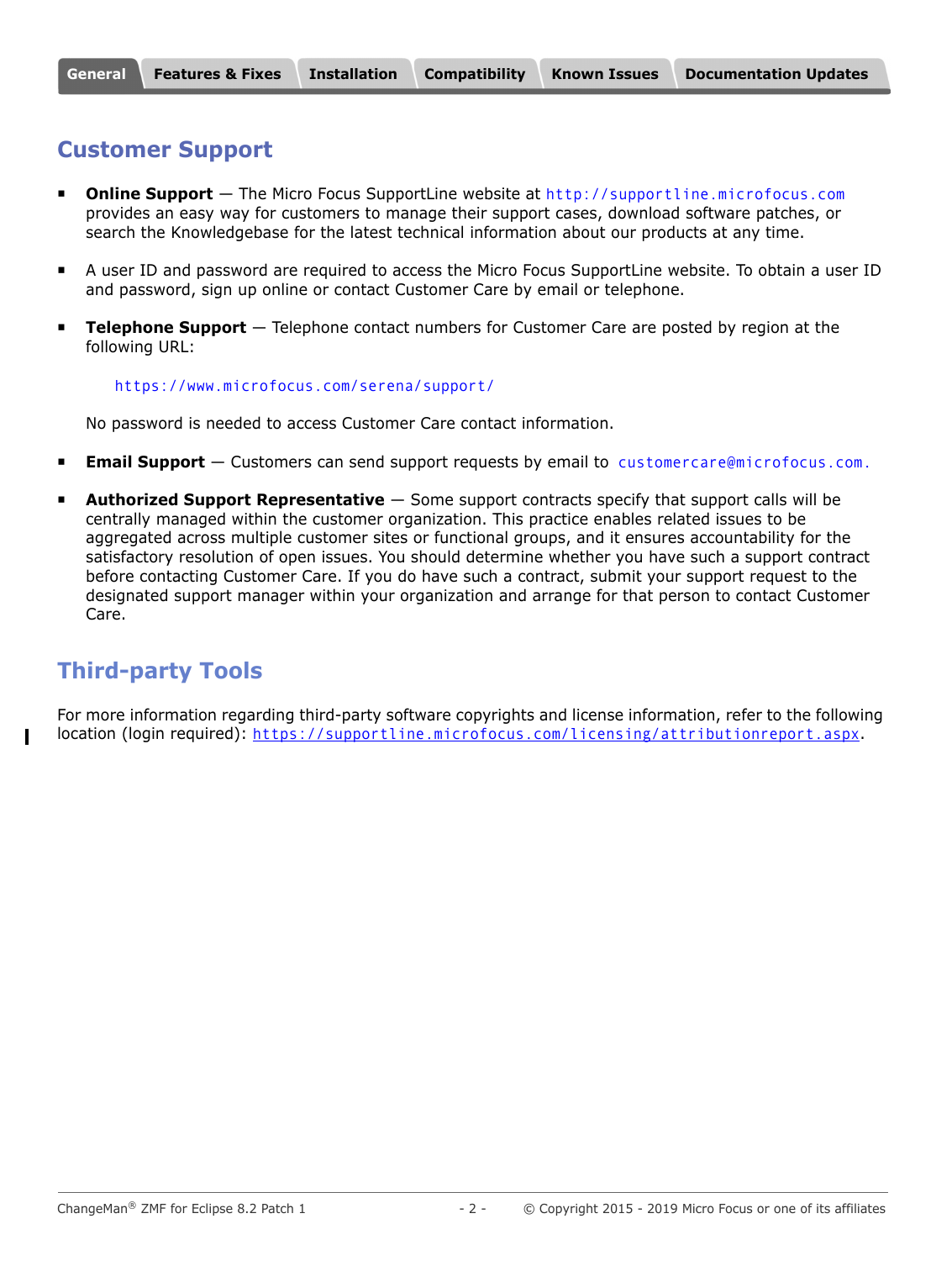### <span id="page-1-0"></span>**Customer Support**

- **Online Support** The Micro Focus SupportLine website at [http://supportline.microfocus.com](https://supportline.microfocus.com/) provides an easy way for customers to manage their support cases, download software patches, or search the Knowledgebase for the latest technical information about our products at any time.
- A user ID and password are required to access the Micro Focus SupportLine website. To obtain a user ID and password, sign up online or contact Customer Care by email or telephone.
- **Telephone Support** Telephone contact numbers for Customer Care are posted by region at the following URL:

#### <https://www.microfocus.com/serena/support/>

No password is needed to access Customer Care contact information.

- **Email Support** Customers can send support requests by email to [customercare@microfocus.com.](mailto:customercare@microfocus.com )
- **Authorized Support Representative** Some support contracts specify that support calls will be centrally managed within the customer organization. This practice enables related issues to be aggregated across multiple customer sites or functional groups, and it ensures accountability for the satisfactory resolution of open issues. You should determine whether you have such a support contract before contacting Customer Care. If you do have such a contract, submit your support request to the designated support manager within your organization and arrange for that person to contact Customer Care.

# **Third-party Tools**

For more information regarding third-party software copyrights and license information, refer to the following location (login required): <https://supportline.microfocus.com/licensing/attributionreport.aspx>.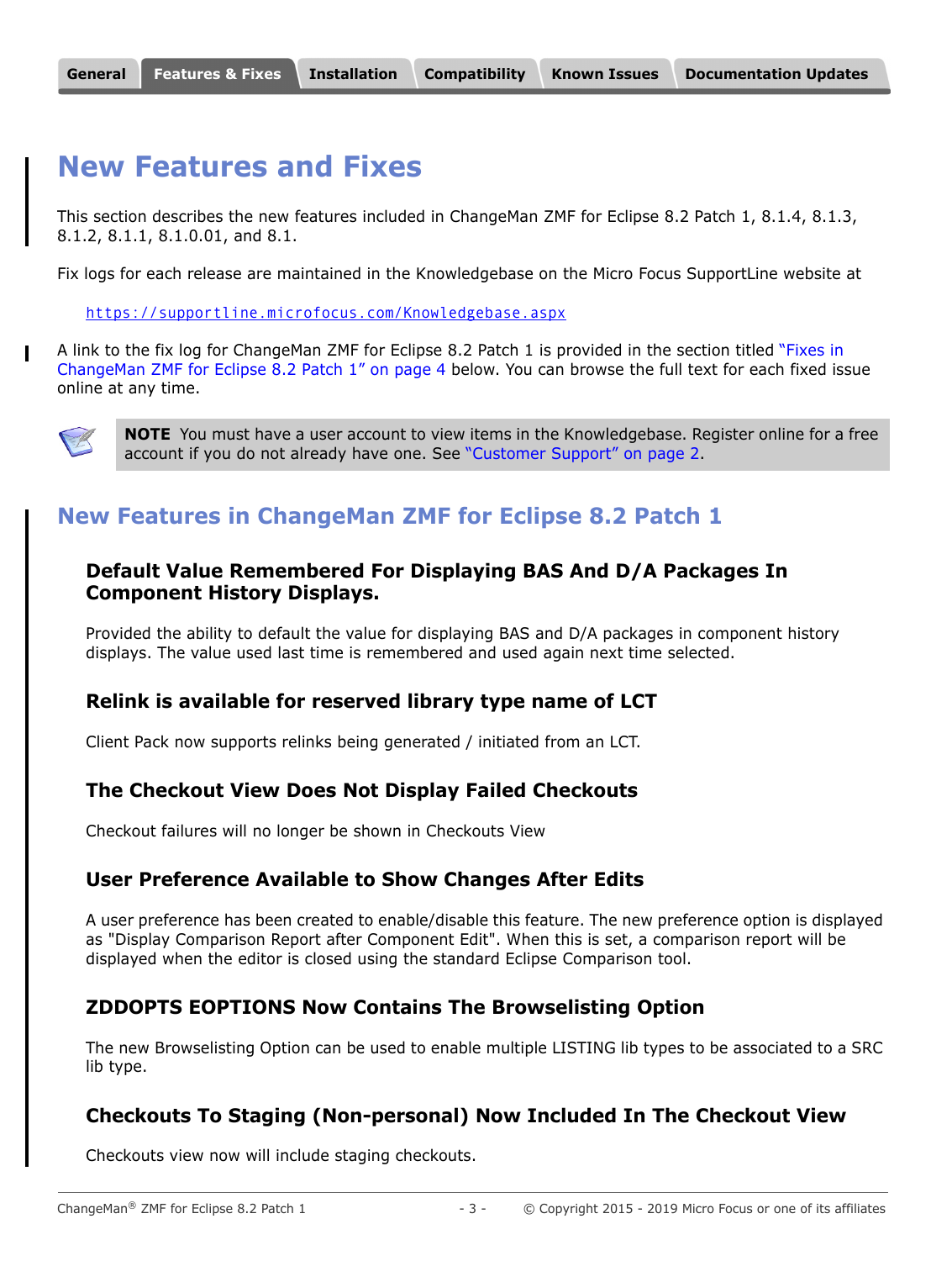# <span id="page-2-0"></span>**New Features and Fixes**

This section describes the new features included in ChangeMan ZMF for Eclipse 8.2 Patch 1, 8.1.4, 8.1.3, 8.1.2, 8.1.1, 8.1.0.01, and 8.1.

Fix logs for each release are maintained in the Knowledgebase on the Micro Focus SupportLine website at

<https://supportline.microfocus.com/Knowledgebase.aspx>

A link to the fix log for ChangeMan ZMF for Eclipse 8.2 Patch 1 is provided in the section titled ["Fixes in](#page-3-0)  [ChangeMan ZMF for Eclipse 8.2 Patch 1" on page 4](#page-3-0) below. You can browse the full text for each fixed issue online at any time.



**NOTE** You must have a user account to view items in the Knowledgebase. Register online for a free account if you do not already have one. See ["Customer Support" on page 2.](#page-1-0)

# <span id="page-2-1"></span>**New Features in ChangeMan ZMF for Eclipse 8.2 Patch 1**

#### **Default Value Remembered For Displaying BAS And D/A Packages In Component History Displays.**

Provided the ability to default the value for displaying BAS and D/A packages in component history displays. The value used last time is remembered and used again next time selected.

#### **Relink is available for reserved library type name of LCT**

Client Pack now supports relinks being generated / initiated from an LCT.

#### **The Checkout View Does Not Display Failed Checkouts**

Checkout failures will no longer be shown in Checkouts View

#### **User Preference Available to Show Changes After Edits**

A user preference has been created to enable/disable this feature. The new preference option is displayed as "Display Comparison Report after Component Edit". When this is set, a comparison report will be displayed when the editor is closed using the standard Eclipse Comparison tool.

#### **ZDDOPTS EOPTIONS Now Contains The Browselisting Option**

The new Browselisting Option can be used to enable multiple LISTING lib types to be associated to a SRC lib type.

#### **Checkouts To Staging (Non-personal) Now Included In The Checkout View**

Checkouts view now will include staging checkouts.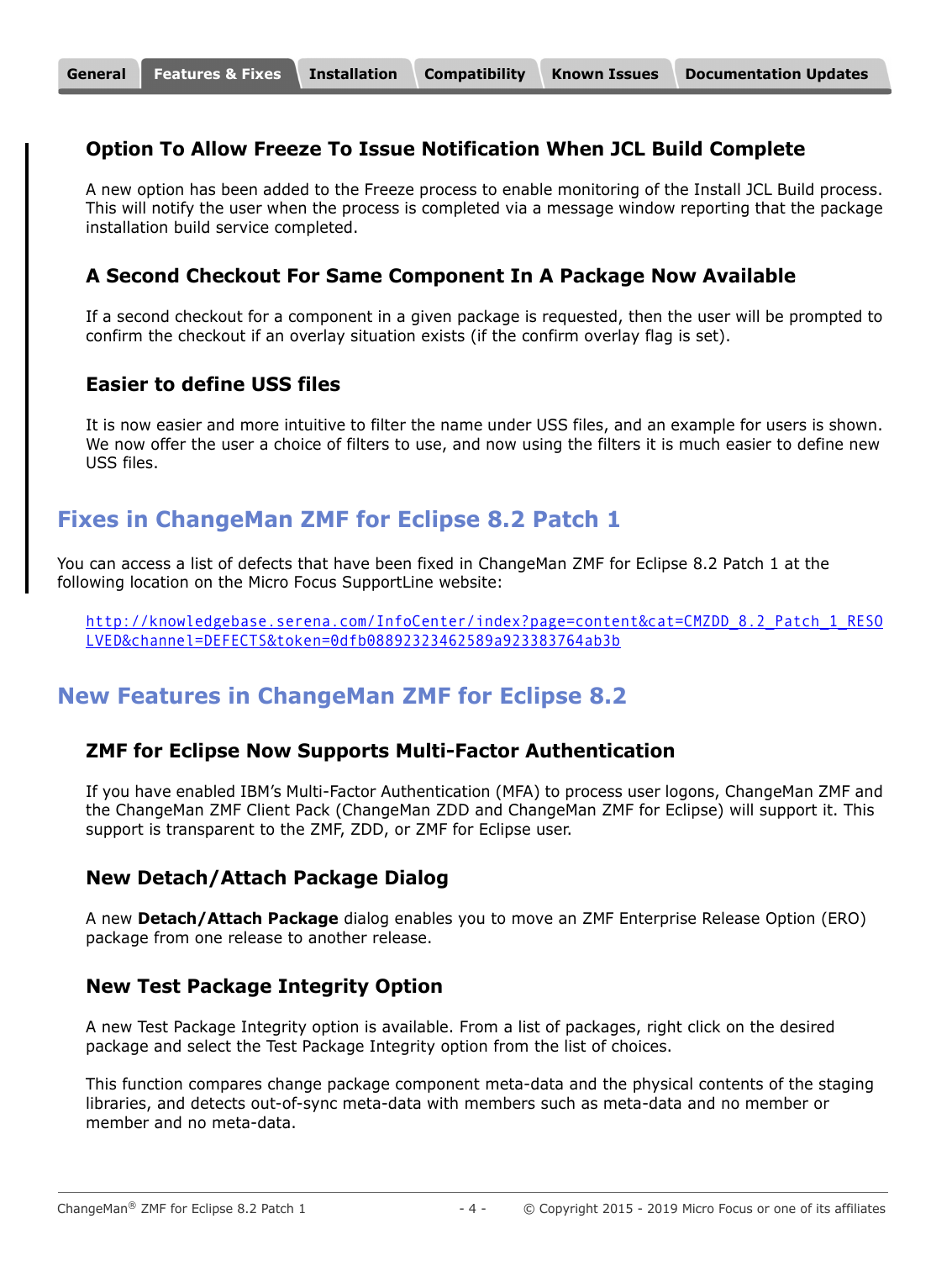### **Option To Allow Freeze To Issue Notification When JCL Build Complete**

A new option has been added to the Freeze process to enable monitoring of the Install JCL Build process. This will notify the user when the process is completed via a message window reporting that the package installation build service completed.

#### **A Second Checkout For Same Component In A Package Now Available**

If a second checkout for a component in a given package is requested, then the user will be prompted to confirm the checkout if an overlay situation exists (if the confirm overlay flag is set).

### **Easier to define USS files**

It is now easier and more intuitive to filter the name under USS files, and an example for users is shown. We now offer the user a choice of filters to use, and now using the filters it is much easier to define new USS files.

# <span id="page-3-0"></span>**Fixes in ChangeMan ZMF for Eclipse 8.2 Patch 1**

You can access a list of defects that have been fixed in ChangeMan ZMF for Eclipse 8.2 Patch 1 at the following location on the Micro Focus SupportLine website:

[http://knowledgebase.serena.com/InfoCenter/index?page=content&cat=CMZDD\\_8.2\\_Patch\\_1\\_RESO](http://knowledgebase.serena.com/InfoCenter/index?page=content&cat=CMZDD_8.2_Patch_1_RESOLVED&channel=DEFECTS&token=0dfb08892323462589a923383764ab3b) LVED&channel=DEFECTS&token=0dfb08892323462589a923383764ab3b

# **New Features in ChangeMan ZMF for Eclipse 8.2**

#### **ZMF for Eclipse Now Supports Multi-Factor Authentication**

If you have enabled IBM's Multi-Factor Authentication (MFA) to process user logons, ChangeMan ZMF and the ChangeMan ZMF Client Pack (ChangeMan ZDD and ChangeMan ZMF for Eclipse) will support it. This support is transparent to the ZMF, ZDD, or ZMF for Eclipse user.

#### **New Detach/Attach Package Dialog**

A new **Detach/Attach Package** dialog enables you to move an ZMF Enterprise Release Option (ERO) package from one release to another release.

#### **New Test Package Integrity Option**

A new Test Package Integrity option is available. From a list of packages, right click on the desired package and select the Test Package Integrity option from the list of choices.

This function compares change package component meta-data and the physical contents of the staging libraries, and detects out-of-sync meta-data with members such as meta-data and no member or member and no meta-data.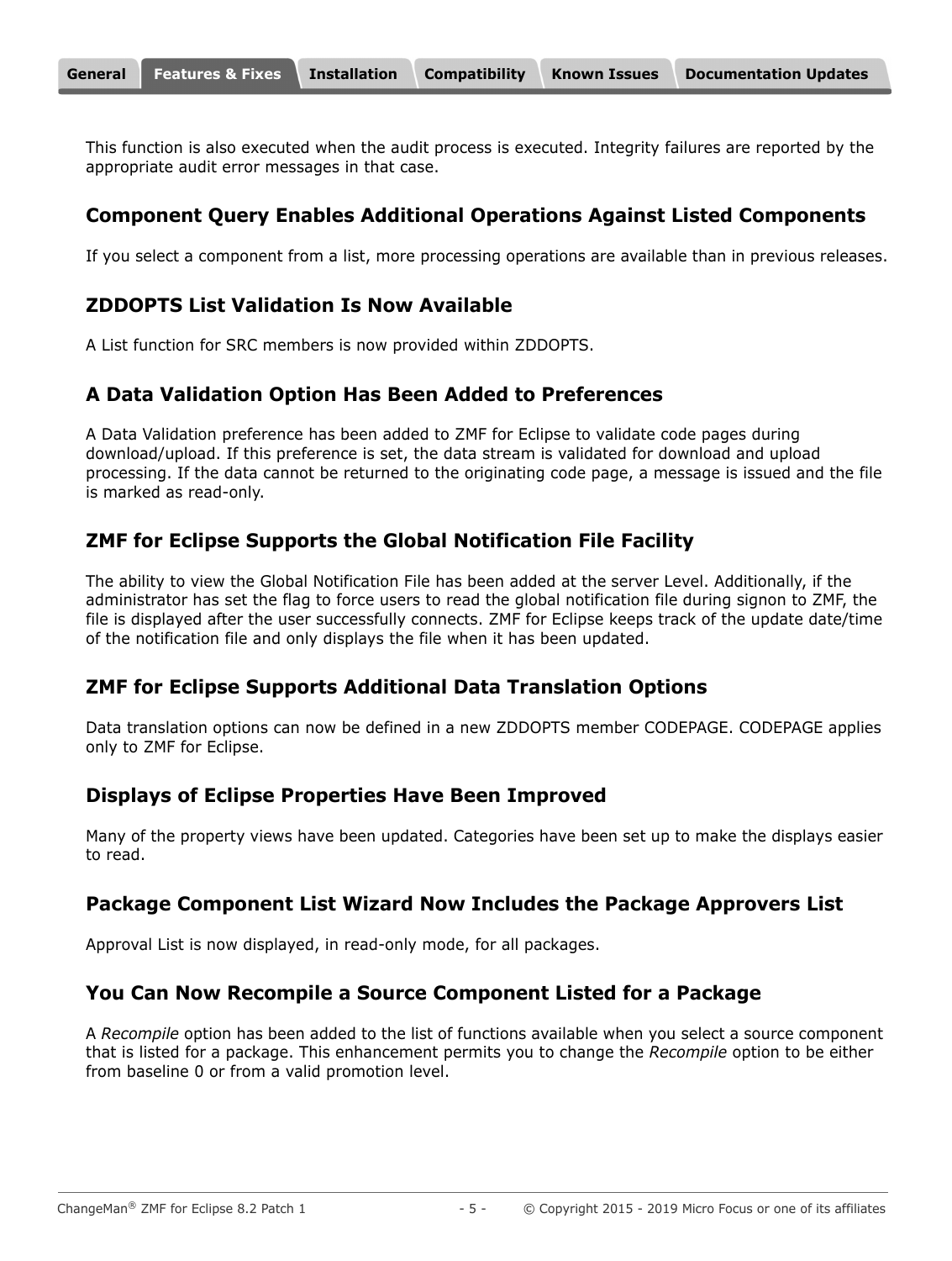This function is also executed when the audit process is executed. Integrity failures are reported by the appropriate audit error messages in that case.

# **Component Query Enables Additional Operations Against Listed Components**

If you select a component from a list, more processing operations are available than in previous releases.

# **ZDDOPTS List Validation Is Now Available**

A List function for SRC members is now provided within ZDDOPTS.

### **A Data Validation Option Has Been Added to Preferences**

A Data Validation preference has been added to ZMF for Eclipse to validate code pages during download/upload. If this preference is set, the data stream is validated for download and upload processing. If the data cannot be returned to the originating code page, a message is issued and the file is marked as read-only.

# **ZMF for Eclipse Supports the Global Notification File Facility**

The ability to view the Global Notification File has been added at the server Level. Additionally, if the administrator has set the flag to force users to read the global notification file during signon to ZMF, the file is displayed after the user successfully connects. ZMF for Eclipse keeps track of the update date/time of the notification file and only displays the file when it has been updated.

### **ZMF for Eclipse Supports Additional Data Translation Options**

Data translation options can now be defined in a new ZDDOPTS member CODEPAGE. CODEPAGE applies only to ZMF for Eclipse.

# **Displays of Eclipse Properties Have Been Improved**

Many of the property views have been updated. Categories have been set up to make the displays easier to read.

### **Package Component List Wizard Now Includes the Package Approvers List**

Approval List is now displayed, in read-only mode, for all packages.

### **You Can Now Recompile a Source Component Listed for a Package**

A *Recompile* option has been added to the list of functions available when you select a source component that is listed for a package. This enhancement permits you to change the *Recompile* option to be either from baseline 0 or from a valid promotion level.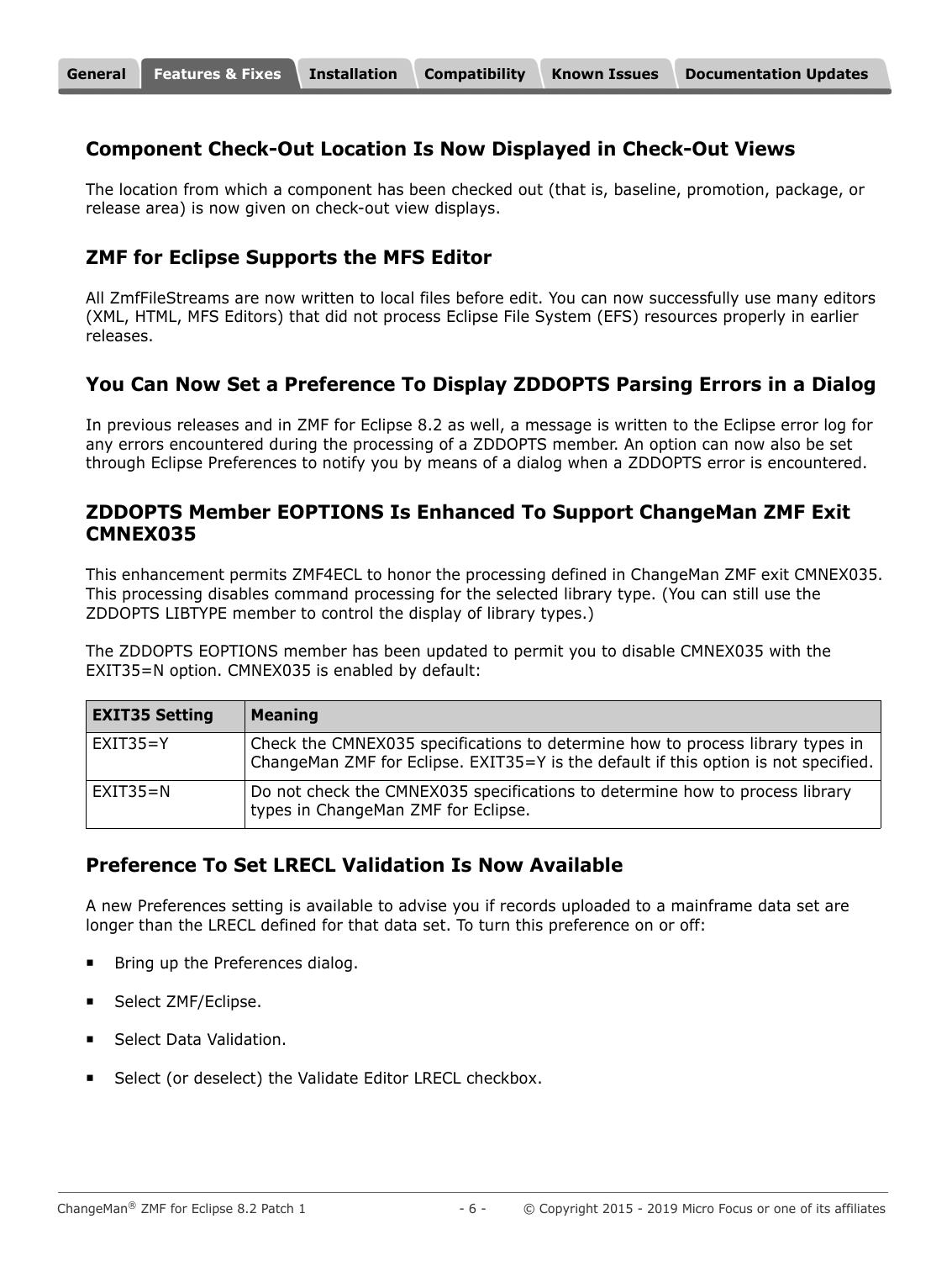#### **Component Check-Out Location Is Now Displayed in Check-Out Views**

The location from which a component has been checked out (that is, baseline, promotion, package, or release area) is now given on check-out view displays.

### **ZMF for Eclipse Supports the MFS Editor**

All ZmfFileStreams are now written to local files before edit. You can now successfully use many editors (XML, HTML, MFS Editors) that did not process Eclipse File System (EFS) resources properly in earlier releases.

### **You Can Now Set a Preference To Display ZDDOPTS Parsing Errors in a Dialog**

In previous releases and in ZMF for Eclipse 8.2 as well, a message is written to the Eclipse error log for any errors encountered during the processing of a ZDDOPTS member. An option can now also be set through Eclipse Preferences to notify you by means of a dialog when a ZDDOPTS error is encountered.

#### **ZDDOPTS Member EOPTIONS Is Enhanced To Support ChangeMan ZMF Exit CMNEX035**

This enhancement permits ZMF4ECL to honor the processing defined in ChangeMan ZMF exit CMNEX035. This processing disables command processing for the selected library type. (You can still use the ZDDOPTS LIBTYPE member to control the display of library types.)

The ZDDOPTS EOPTIONS member has been updated to permit you to disable CMNEX035 with the EXIT35=N option. CMNEX035 is enabled by default:

| <b>EXIT35 Setting</b> | <b>Meaning</b>                                                                                                                                                        |
|-----------------------|-----------------------------------------------------------------------------------------------------------------------------------------------------------------------|
| $EXIT35 = Y$          | Check the CMNEX035 specifications to determine how to process library types in<br>ChangeMan ZMF for Eclipse. EXIT35=Y is the default if this option is not specified. |
| $EXIT35=N$            | Do not check the CMNEX035 specifications to determine how to process library<br>types in ChangeMan ZMF for Eclipse.                                                   |

#### **Preference To Set LRECL Validation Is Now Available**

A new Preferences setting is available to advise you if records uploaded to a mainframe data set are longer than the LRECL defined for that data set. To turn this preference on or off:

- Bring up the Preferences dialog.
- Select ZMF/Eclipse.
- Select Data Validation.
- Select (or deselect) the Validate Editor LRECL checkbox.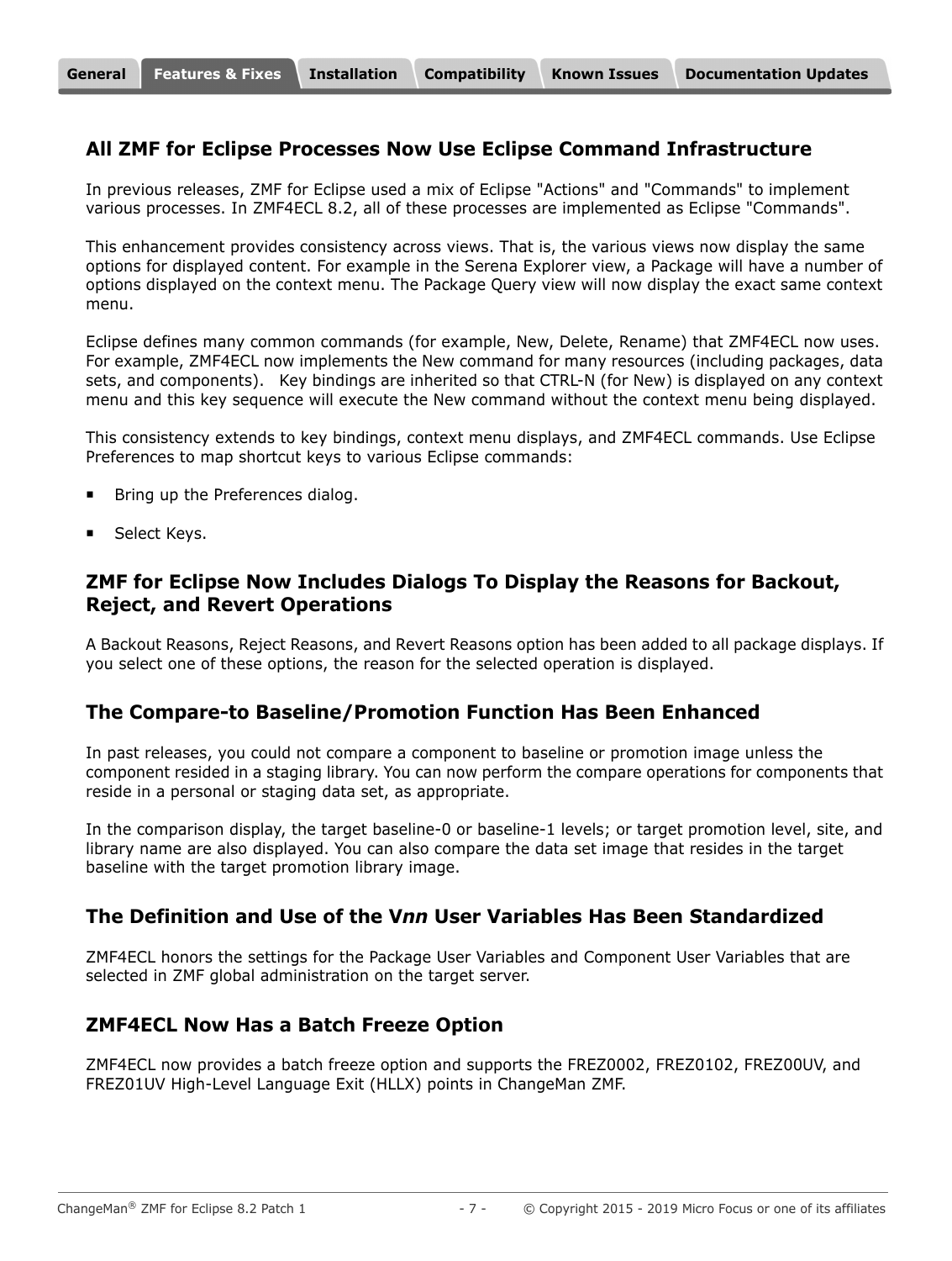#### **All ZMF for Eclipse Processes Now Use Eclipse Command Infrastructure**

In previous releases, ZMF for Eclipse used a mix of Eclipse "Actions" and "Commands" to implement various processes. In ZMF4ECL 8.2, all of these processes are implemented as Eclipse "Commands".

This enhancement provides consistency across views. That is, the various views now display the same options for displayed content. For example in the Serena Explorer view, a Package will have a number of options displayed on the context menu. The Package Query view will now display the exact same context menu.

Eclipse defines many common commands (for example, New, Delete, Rename) that ZMF4ECL now uses. For example, ZMF4ECL now implements the New command for many resources (including packages, data sets, and components). Key bindings are inherited so that CTRL-N (for New) is displayed on any context menu and this key sequence will execute the New command without the context menu being displayed.

This consistency extends to key bindings, context menu displays, and ZMF4ECL commands. Use Eclipse Preferences to map shortcut keys to various Eclipse commands:

- Bring up the Preferences dialog.
- **Select Keys.**

#### **ZMF for Eclipse Now Includes Dialogs To Display the Reasons for Backout, Reject, and Revert Operations**

A Backout Reasons, Reject Reasons, and Revert Reasons option has been added to all package displays. If you select one of these options, the reason for the selected operation is displayed.

#### **The Compare-to Baseline/Promotion Function Has Been Enhanced**

In past releases, you could not compare a component to baseline or promotion image unless the component resided in a staging library. You can now perform the compare operations for components that reside in a personal or staging data set, as appropriate.

In the comparison display, the target baseline-0 or baseline-1 levels; or target promotion level, site, and library name are also displayed. You can also compare the data set image that resides in the target baseline with the target promotion library image.

#### **The Definition and Use of the V***nn* **User Variables Has Been Standardized**

ZMF4ECL honors the settings for the Package User Variables and Component User Variables that are selected in ZMF global administration on the target server.

#### **ZMF4ECL Now Has a Batch Freeze Option**

ZMF4ECL now provides a batch freeze option and supports the FREZ0002, FREZ0102, FREZ00UV, and FREZ01UV High-Level Language Exit (HLLX) points in ChangeMan ZMF.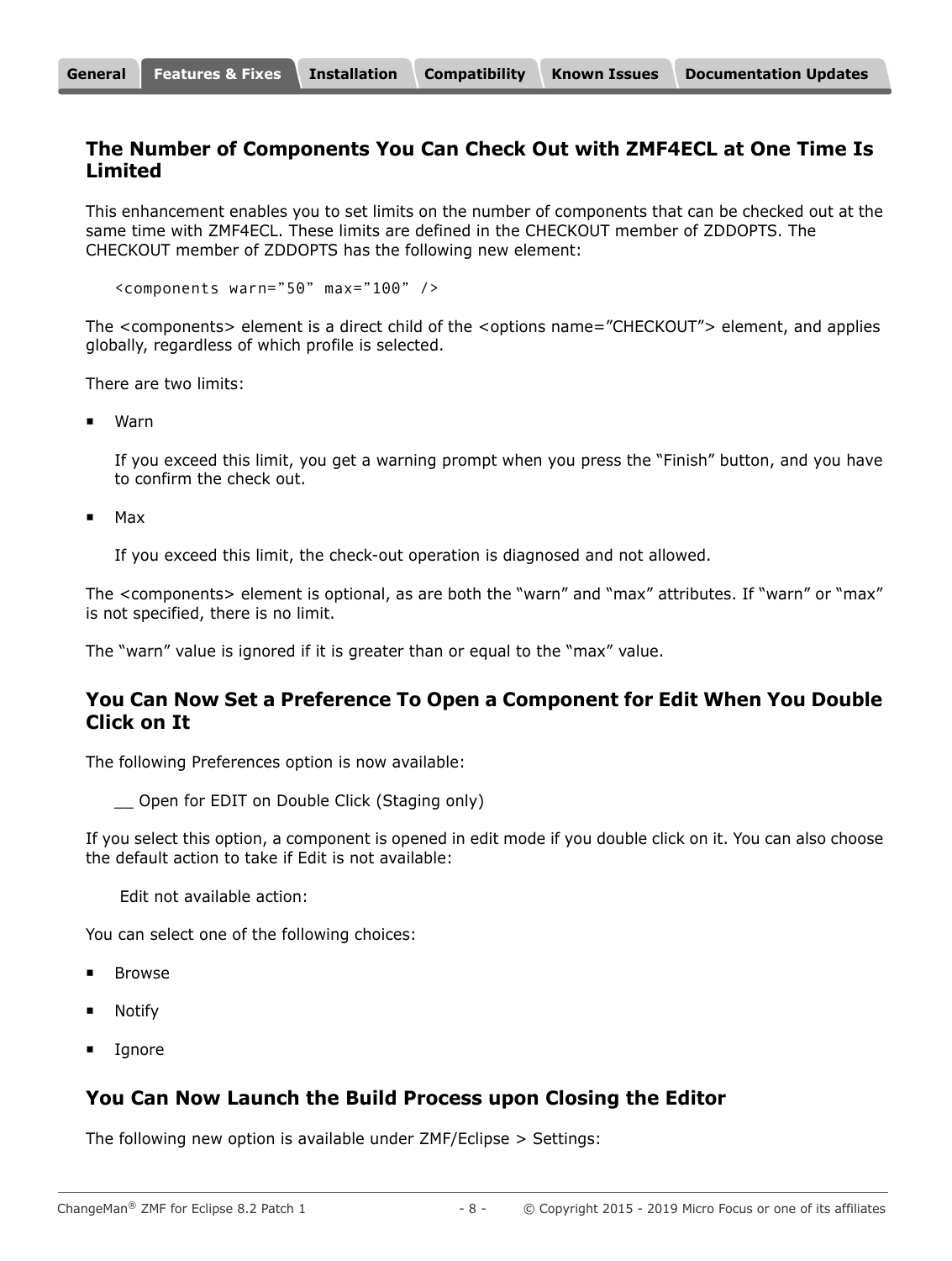#### **The Number of Components You Can Check Out with ZMF4ECL at One Time Is Limited**

This enhancement enables you to set limits on the number of components that can be checked out at the same time with ZMF4ECL. These limits are defined in the CHECKOUT member of ZDDOPTS. The CHECKOUT member of ZDDOPTS has the following new element:

<components warn="50" max="100" />

The <components> element is a direct child of the <options name="CHECKOUT"> element, and applies globally, regardless of which profile is selected.

There are two limits:

Warn

If you exceed this limit, you get a warning prompt when you press the "Finish" button, and you have to confirm the check out.

Max

If you exceed this limit, the check-out operation is diagnosed and not allowed.

The <components> element is optional, as are both the "warn" and "max" attributes. If "warn" or "max" is not specified, there is no limit.

The "warn" value is ignored if it is greater than or equal to the "max" value.

#### **You Can Now Set a Preference To Open a Component for Edit When You Double Click on It**

The following Preferences option is now available:

\_\_ Open for EDIT on Double Click (Staging only)

If you select this option, a component is opened in edit mode if you double click on it. You can also choose the default action to take if Edit is not available:

Edit not available action:

You can select one of the following choices:

- **Browse**
- Notify
- Ignore

#### **You Can Now Launch the Build Process upon Closing the Editor**

The following new option is available under ZMF/Eclipse > Settings: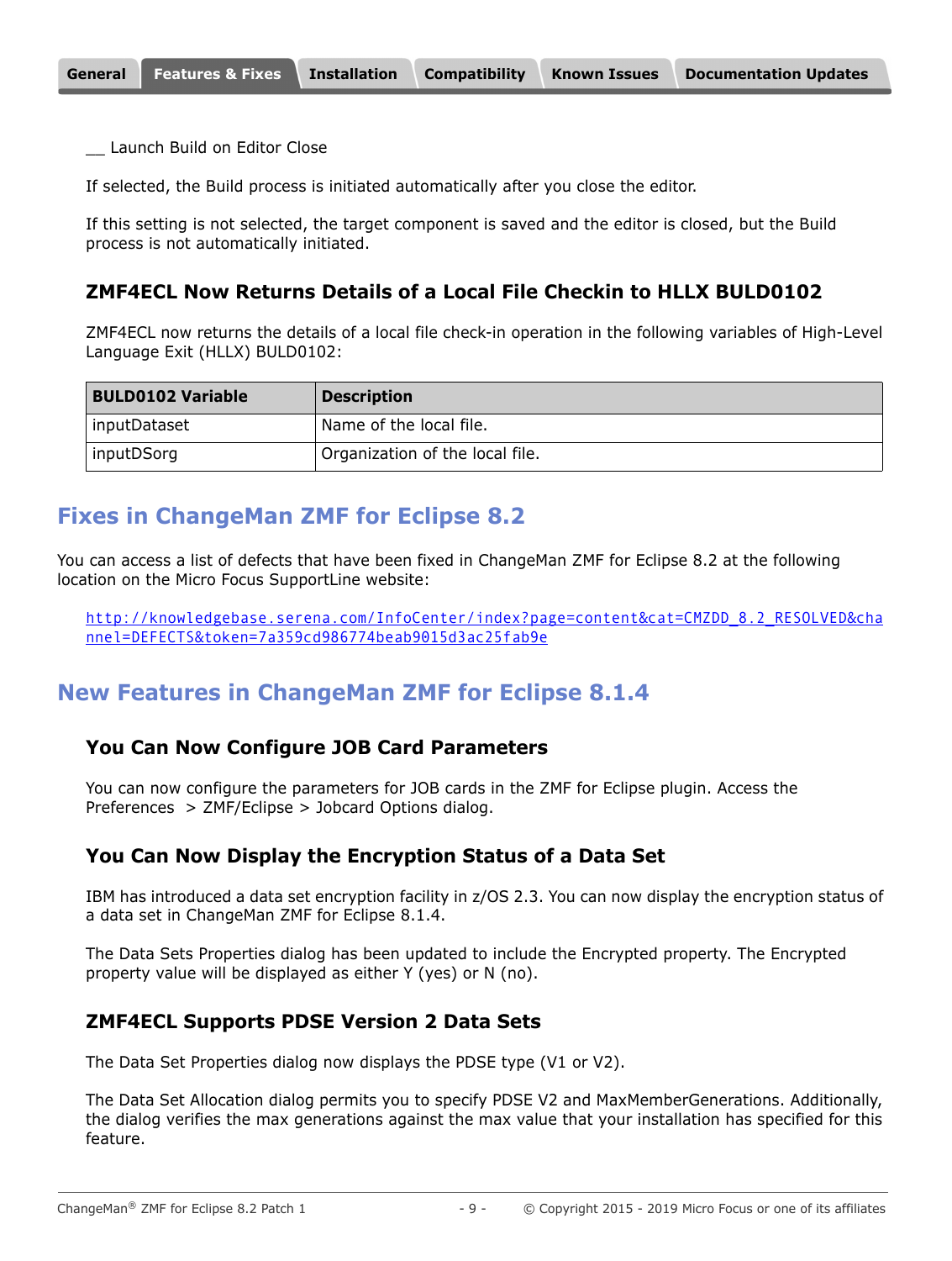Launch Build on Editor Close

If selected, the Build process is initiated automatically after you close the editor.

If this setting is not selected, the target component is saved and the editor is closed, but the Build process is not automatically initiated.

#### **ZMF4ECL Now Returns Details of a Local File Checkin to HLLX BULD0102**

ZMF4ECL now returns the details of a local file check-in operation in the following variables of High-Level Language Exit (HLLX) BULD0102:

| <b>BULD0102 Variable</b> | <b>Description</b>              |
|--------------------------|---------------------------------|
| inputDataset             | Name of the local file.         |
| inputDSorg               | Organization of the local file. |

### <span id="page-8-0"></span>**Fixes in ChangeMan ZMF for Eclipse 8.2**

You can access a list of defects that have been fixed in ChangeMan ZMF for Eclipse 8.2 at the following location on the Micro Focus SupportLine website:

[http://knowledgebase.serena.com/InfoCenter/index?page=content&cat=CMZDD\\_8.2\\_RESOLVED&cha](http://knowledgebase.serena.com/InfoCenter/index?page=content&cat=CMZDD_8.2_RESOLVED&channel=DEFECTS&token=7a359cd986774beab9015d3ac25fab9e) nnel=DEFECTS&token=7a359cd986774beab9015d3ac25fab9e

### **New Features in ChangeMan ZMF for Eclipse 8.1.4**

#### **You Can Now Configure JOB Card Parameters**

You can now configure the parameters for JOB cards in the ZMF for Eclipse plugin. Access the Preferences > ZMF/Eclipse > Jobcard Options dialog.

#### **You Can Now Display the Encryption Status of a Data Set**

IBM has introduced a data set encryption facility in z/OS 2.3. You can now display the encryption status of a data set in ChangeMan ZMF for Eclipse 8.1.4.

The Data Sets Properties dialog has been updated to include the Encrypted property. The Encrypted property value will be displayed as either Y (yes) or N (no).

#### **ZMF4ECL Supports PDSE Version 2 Data Sets**

The Data Set Properties dialog now displays the PDSE type (V1 or V2).

The Data Set Allocation dialog permits you to specify PDSE V2 and MaxMemberGenerations. Additionally, the dialog verifies the max generations against the max value that your installation has specified for this feature.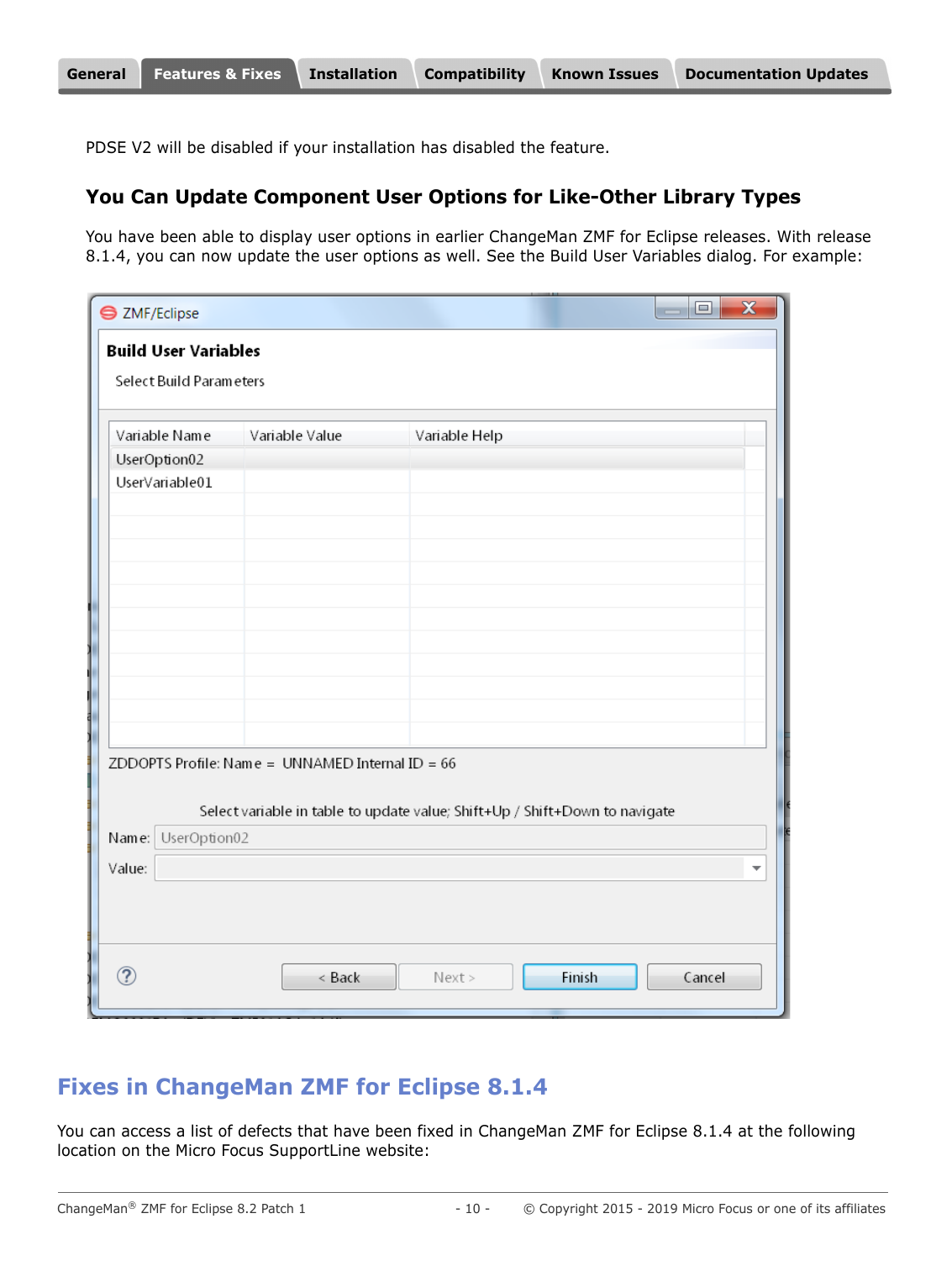PDSE V2 will be disabled if your installation has disabled the feature.

#### **You Can Update Component User Options for Like-Other Library Types**

You have been able to display user options in earlier ChangeMan ZMF for Eclipse releases. With release 8.1.4, you can now update the user options as well. See the Build User Variables dialog. For example:

| <b>● ZMF/Eclipse</b>        |                                                    | $\overline{\textbf{x}}$<br>o                                                |
|-----------------------------|----------------------------------------------------|-----------------------------------------------------------------------------|
| <b>Build User Variables</b> |                                                    |                                                                             |
| Select Build Parameters     |                                                    |                                                                             |
| Variable Name               | Variable Value                                     | Variable Help                                                               |
| UserOption02                |                                                    |                                                                             |
| UserVariable01              |                                                    |                                                                             |
|                             |                                                    |                                                                             |
|                             |                                                    |                                                                             |
|                             |                                                    |                                                                             |
|                             |                                                    |                                                                             |
|                             |                                                    |                                                                             |
|                             |                                                    |                                                                             |
|                             |                                                    |                                                                             |
|                             |                                                    |                                                                             |
|                             |                                                    |                                                                             |
|                             | ZDDOPTS Profile: Name = UNNAMED Internal ID = $66$ |                                                                             |
|                             |                                                    |                                                                             |
|                             |                                                    | Select variable in table to update value; Shift+Up / Shift+Down to navigate |
| UserOption02<br>Name:       |                                                    |                                                                             |
| Value:                      |                                                    |                                                                             |
|                             |                                                    |                                                                             |
|                             |                                                    |                                                                             |
|                             |                                                    |                                                                             |
| ⊘                           | < Back                                             | Finish<br>Cancel<br>Next                                                    |
|                             |                                                    |                                                                             |

# **Fixes in ChangeMan ZMF for Eclipse 8.1.4**

You can access a list of defects that have been fixed in ChangeMan ZMF for Eclipse 8.1.4 at the following location on the Micro Focus SupportLine website: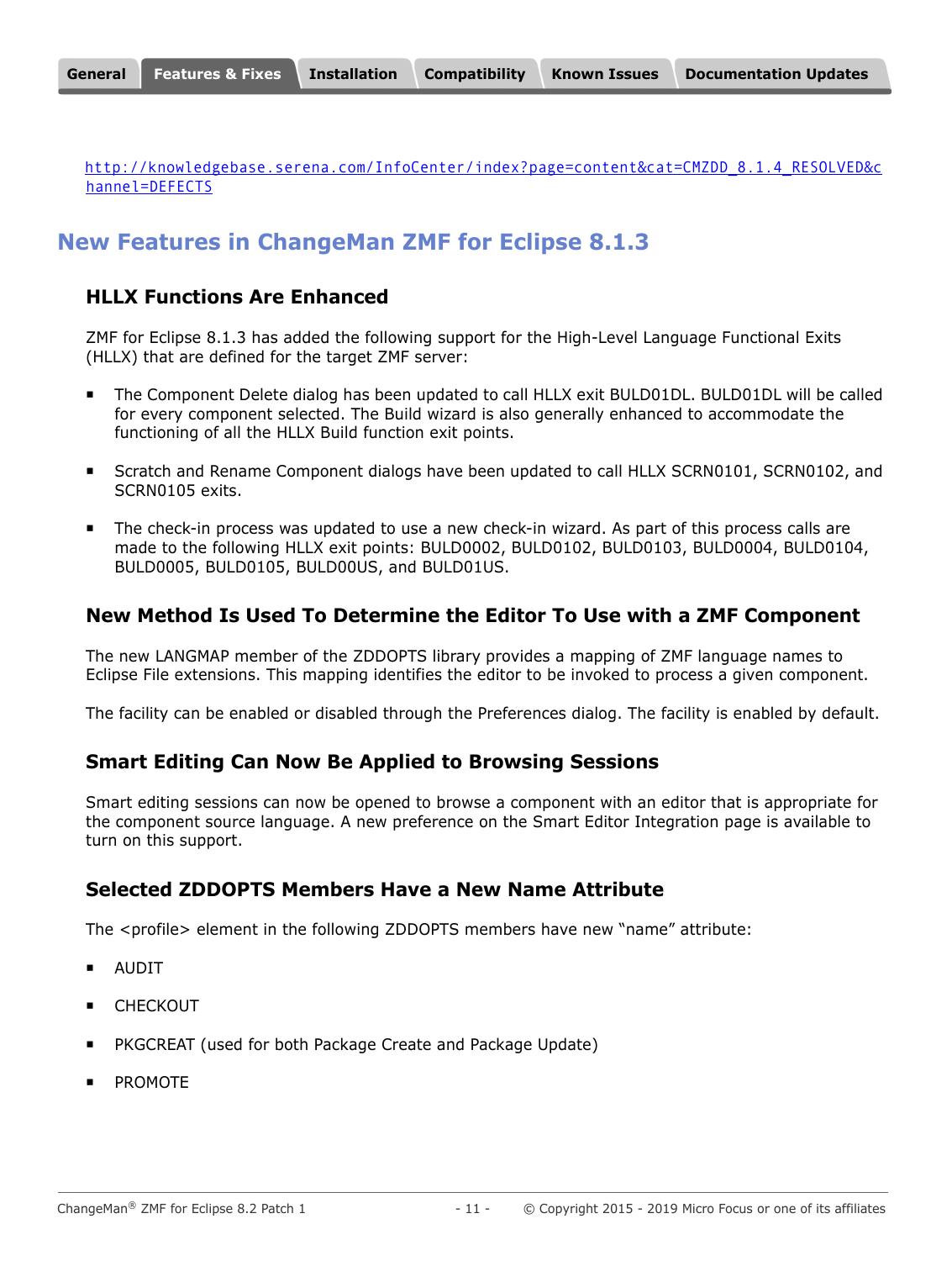[http://knowledgebase.serena.com/InfoCenter/index?page=content&cat=CMZDD\\_8.1.4\\_RESOLVED&c](http://knowledgebase.serena.com/InfoCenter/index?page=content&cat=CMZDD_8.1.4_RESOLVED&channel=DEFECTS) hannel=DEFECTS

# **New Features in ChangeMan ZMF for Eclipse 8.1.3**

### **HLLX Functions Are Enhanced**

ZMF for Eclipse 8.1.3 has added the following support for the High-Level Language Functional Exits (HLLX) that are defined for the target ZMF server:

- The Component Delete dialog has been updated to call HLLX exit BULD01DL. BULD01DL will be called for every component selected. The Build wizard is also generally enhanced to accommodate the functioning of all the HLLX Build function exit points.
- Scratch and Rename Component dialogs have been updated to call HLLX SCRN0101, SCRN0102, and SCRN0105 exits.
- The check-in process was updated to use a new check-in wizard. As part of this process calls are made to the following HLLX exit points: BULD0002, BULD0102, BULD0103, BULD0004, BULD0104, BULD0005, BULD0105, BULD00US, and BULD01US.

# **New Method Is Used To Determine the Editor To Use with a ZMF Component**

The new LANGMAP member of the ZDDOPTS library provides a mapping of ZMF language names to Eclipse File extensions. This mapping identifies the editor to be invoked to process a given component.

The facility can be enabled or disabled through the Preferences dialog. The facility is enabled by default.

### **Smart Editing Can Now Be Applied to Browsing Sessions**

Smart editing sessions can now be opened to browse a component with an editor that is appropriate for the component source language. A new preference on the Smart Editor Integration page is available to turn on this support.

### **Selected ZDDOPTS Members Have a New Name Attribute**

The <profile> element in the following ZDDOPTS members have new "name" attribute:

- AUDIT
- CHECKOUT
- PKGCREAT (used for both Package Create and Package Update)
- PROMOTE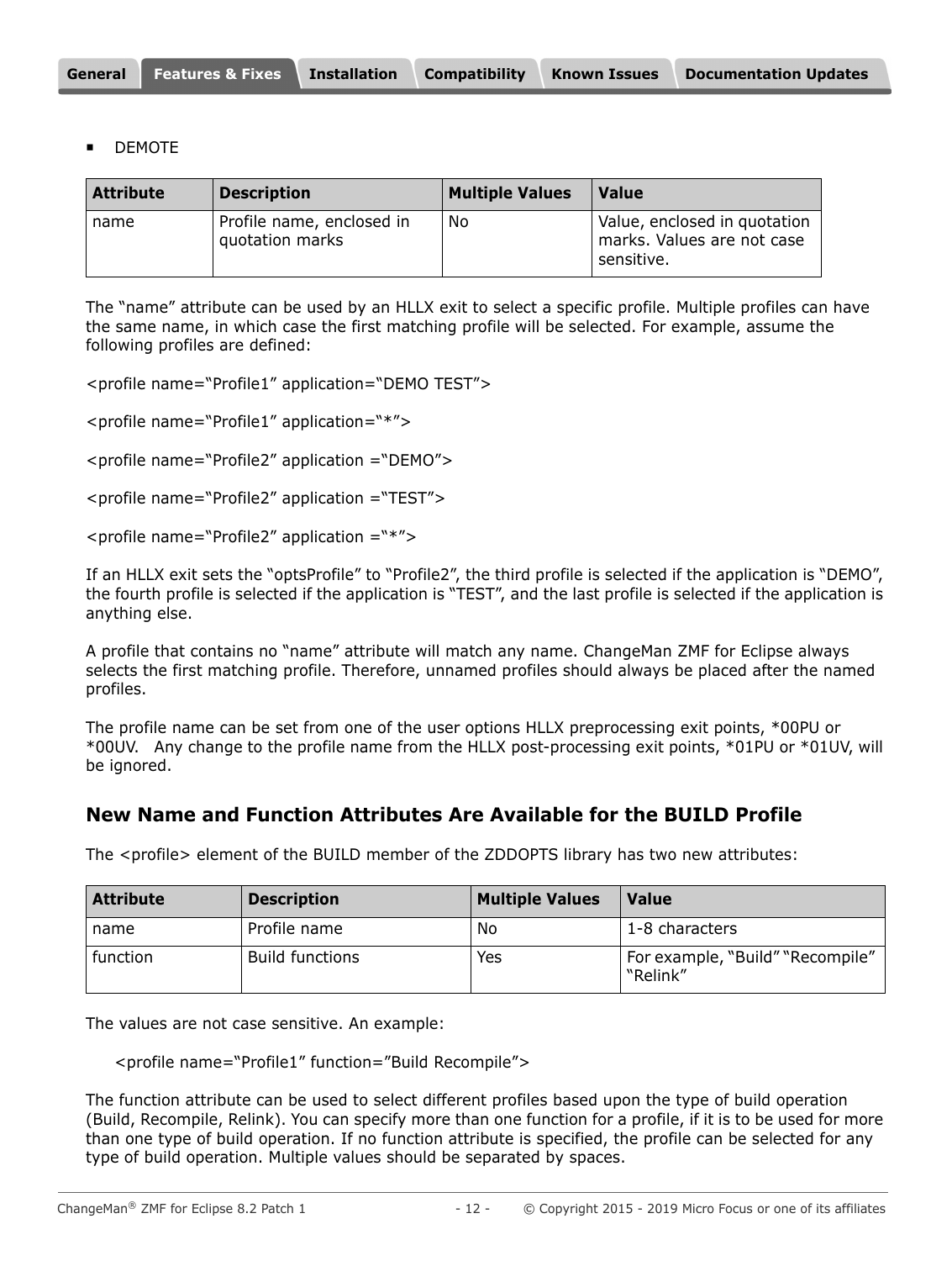|  | <b>General Features &amp; Fixes</b> | <b>Installation</b> | <b>Compatibility</b> | <b>Known Issues</b> | <b>Documentation Updates</b> |
|--|-------------------------------------|---------------------|----------------------|---------------------|------------------------------|
|--|-------------------------------------|---------------------|----------------------|---------------------|------------------------------|

DEMOTE

| <b>Attribute</b> | <b>Description</b>                           | <b>Multiple Values</b> | <b>Value</b>                                                             |
|------------------|----------------------------------------------|------------------------|--------------------------------------------------------------------------|
| name             | Profile name, enclosed in<br>quotation marks | No                     | Value, enclosed in quotation<br>marks. Values are not case<br>sensitive. |

The "name" attribute can be used by an HLLX exit to select a specific profile. Multiple profiles can have the same name, in which case the first matching profile will be selected. For example, assume the following profiles are defined:

<profile name="Profile1" application="DEMO TEST">

<profile name="Profile1" application="\*">

<profile name="Profile2" application ="DEMO">

<profile name="Profile2" application ="TEST">

<profile name="Profile2" application ="\*">

If an HLLX exit sets the "optsProfile" to "Profile2", the third profile is selected if the application is "DEMO", the fourth profile is selected if the application is "TEST", and the last profile is selected if the application is anything else.

A profile that contains no "name" attribute will match any name. ChangeMan ZMF for Eclipse always selects the first matching profile. Therefore, unnamed profiles should always be placed after the named profiles.

The profile name can be set from one of the user options HLLX preprocessing exit points, \*00PU or \*00UV. Any change to the profile name from the HLLX post-processing exit points, \*01PU or \*01UV, will be ignored.

#### **New Name and Function Attributes Are Available for the BUILD Profile**

The <profile> element of the BUILD member of the ZDDOPTS library has two new attributes:

| <b>Attribute</b> | <b>Description</b>     | <b>Multiple Values</b> | <b>Value</b>                                 |
|------------------|------------------------|------------------------|----------------------------------------------|
| name             | Profile name           | No                     | 1-8 characters                               |
| function         | <b>Build functions</b> | Yes                    | For example, "Build" "Recompile"<br>"Relink" |

The values are not case sensitive. An example:

<profile name="Profile1" function="Build Recompile">

The function attribute can be used to select different profiles based upon the type of build operation (Build, Recompile, Relink). You can specify more than one function for a profile, if it is to be used for more than one type of build operation. If no function attribute is specified, the profile can be selected for any type of build operation. Multiple values should be separated by spaces.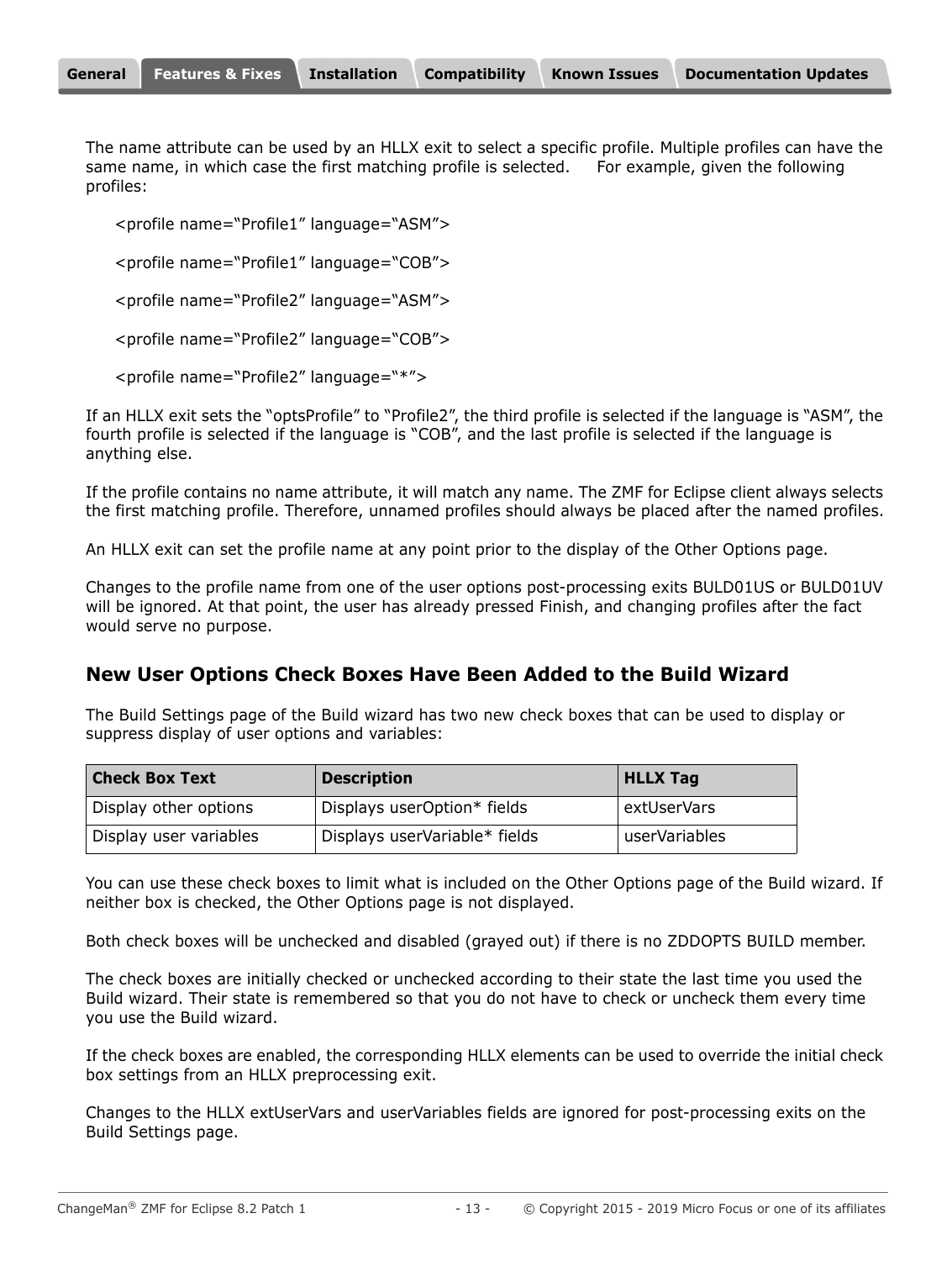The name attribute can be used by an HLLX exit to select a specific profile. Multiple profiles can have the same name, in which case the first matching profile is selected. For example, given the following profiles:

<profile name="Profile1" language="ASM">

<profile name="Profile1" language="COB">

<profile name="Profile2" language="ASM">

<profile name="Profile2" language="COB">

<profile name="Profile2" language="\*">

If an HLLX exit sets the "optsProfile" to "Profile2", the third profile is selected if the language is "ASM", the fourth profile is selected if the language is "COB", and the last profile is selected if the language is anything else.

If the profile contains no name attribute, it will match any name. The ZMF for Eclipse client always selects the first matching profile. Therefore, unnamed profiles should always be placed after the named profiles.

An HLLX exit can set the profile name at any point prior to the display of the Other Options page.

Changes to the profile name from one of the user options post-processing exits BULD01US or BULD01UV will be ignored. At that point, the user has already pressed Finish, and changing profiles after the fact would serve no purpose.

#### **New User Options Check Boxes Have Been Added to the Build Wizard**

The Build Settings page of the Build wizard has two new check boxes that can be used to display or suppress display of user options and variables:

| <b>Check Box Text</b>  | <b>Description</b>            | <b>HLLX Tag</b> |
|------------------------|-------------------------------|-----------------|
| Display other options  | Displays userOption* fields   | extUserVars     |
| Display user variables | Displays userVariable* fields | userVariables   |

You can use these check boxes to limit what is included on the Other Options page of the Build wizard. If neither box is checked, the Other Options page is not displayed.

Both check boxes will be unchecked and disabled (grayed out) if there is no ZDDOPTS BUILD member.

The check boxes are initially checked or unchecked according to their state the last time you used the Build wizard. Their state is remembered so that you do not have to check or uncheck them every time you use the Build wizard.

If the check boxes are enabled, the corresponding HLLX elements can be used to override the initial check box settings from an HLLX preprocessing exit.

Changes to the HLLX extUserVars and userVariables fields are ignored for post-processing exits on the Build Settings page.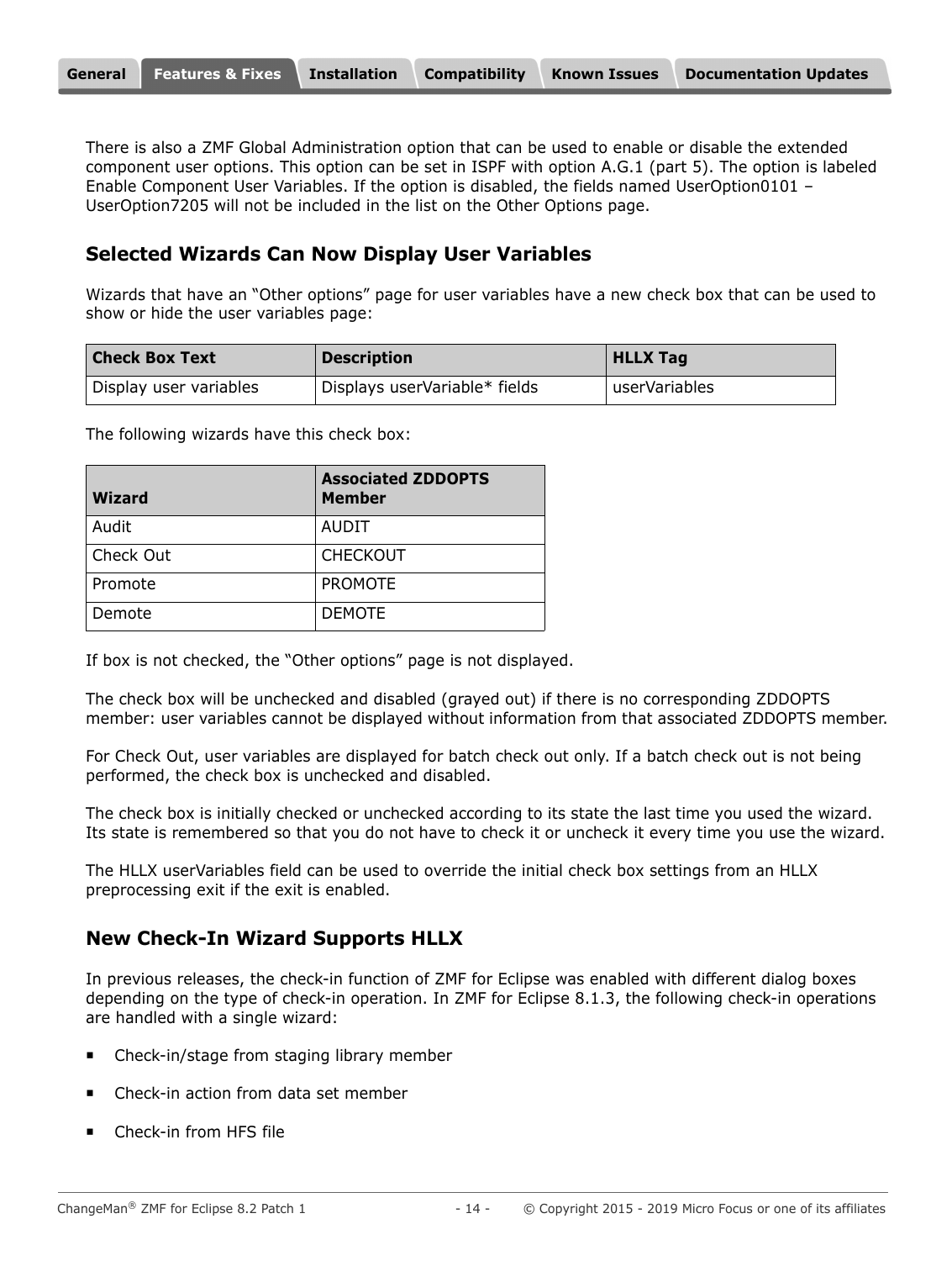There is also a ZMF Global Administration option that can be used to enable or disable the extended component user options. This option can be set in ISPF with option A.G.1 (part 5). The option is labeled Enable Component User Variables. If the option is disabled, the fields named UserOption0101 – UserOption7205 will not be included in the list on the Other Options page.

### **Selected Wizards Can Now Display User Variables**

Wizards that have an "Other options" page for user variables have a new check box that can be used to show or hide the user variables page:

| <b>Check Box Text</b>  | <b>Description</b>            | <b>HLLX Tag</b> |
|------------------------|-------------------------------|-----------------|
| Display user variables | Displays userVariable* fields | userVariables   |

The following wizards have this check box:

| <b>Wizard</b> | <b>Associated ZDDOPTS</b><br><b>Member</b> |
|---------------|--------------------------------------------|
| Audit         | AUDIT                                      |
| Check Out     | <b>CHECKOUT</b>                            |
| Promote       | <b>PROMOTE</b>                             |
| Demote        | <b>DEMOTE</b>                              |

If box is not checked, the "Other options" page is not displayed.

The check box will be unchecked and disabled (grayed out) if there is no corresponding ZDDOPTS member: user variables cannot be displayed without information from that associated ZDDOPTS member.

For Check Out, user variables are displayed for batch check out only. If a batch check out is not being performed, the check box is unchecked and disabled.

The check box is initially checked or unchecked according to its state the last time you used the wizard. Its state is remembered so that you do not have to check it or uncheck it every time you use the wizard.

The HLLX userVariables field can be used to override the initial check box settings from an HLLX preprocessing exit if the exit is enabled.

### **New Check-In Wizard Supports HLLX**

In previous releases, the check-in function of ZMF for Eclipse was enabled with different dialog boxes depending on the type of check-in operation. In ZMF for Eclipse 8.1.3, the following check-in operations are handled with a single wizard:

- Check-in/stage from staging library member
- Check-in action from data set member
- Check-in from HFS file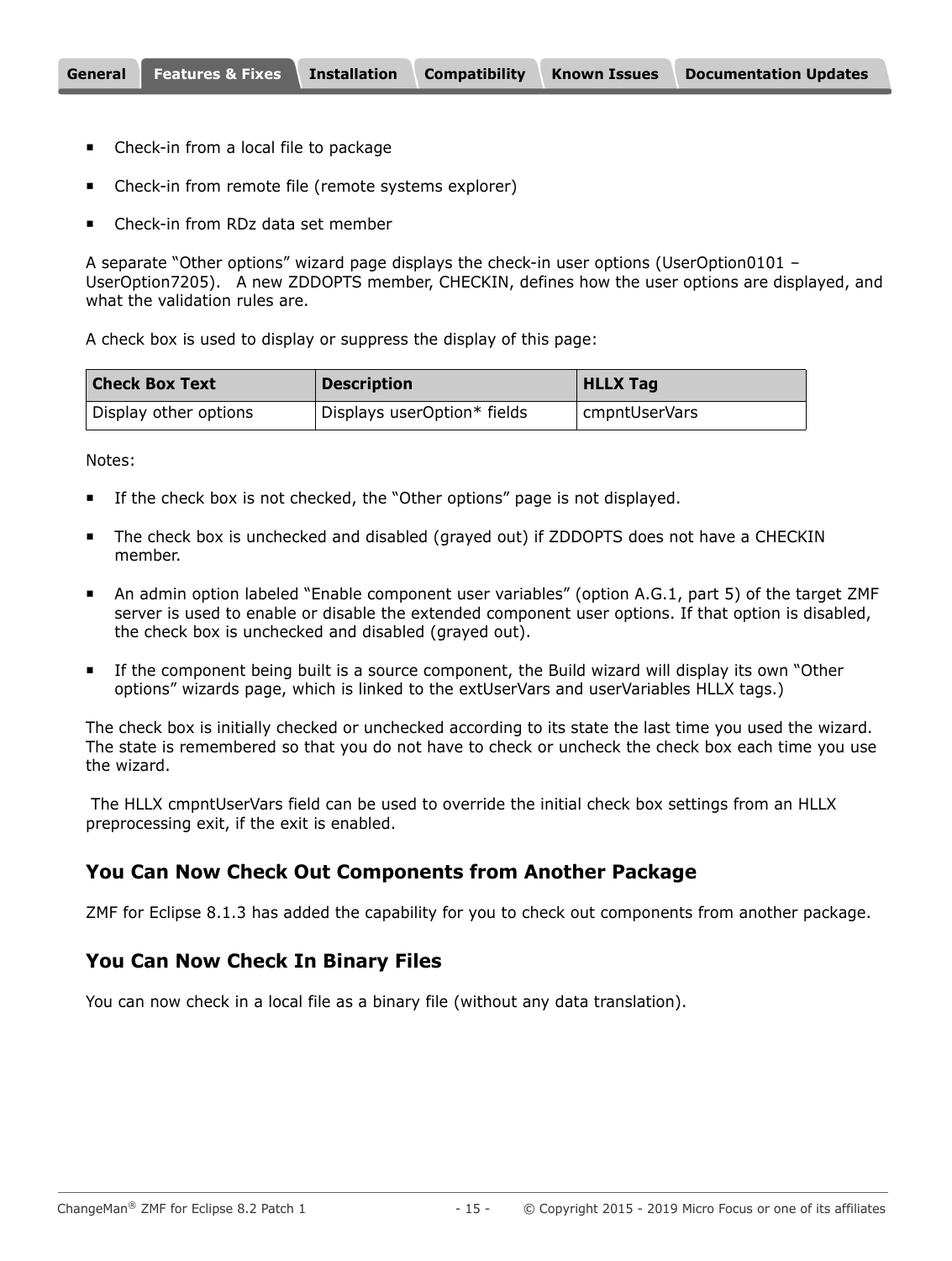- **EXEC** Check-in from a local file to package
- Check-in from remote file (remote systems explorer)
- Check-in from RDz data set member

A separate "Other options" wizard page displays the check-in user options (UserOption0101 -UserOption7205). A new ZDDOPTS member, CHECKIN, defines how the user options are displayed, and what the validation rules are.

A check box is used to display or suppress the display of this page:

| <b>Check Box Text</b> | <b>Description</b>          | <b>HLLX Tag</b> |
|-----------------------|-----------------------------|-----------------|
| Display other options | Displays userOption* fields | cmpntUserVars   |

Notes:

- **If the check box is not checked, the "Other options" page is not displayed.**
- The check box is unchecked and disabled (grayed out) if ZDDOPTS does not have a CHECKIN member.
- An admin option labeled "Enable component user variables" (option A.G.1, part 5) of the target ZMF server is used to enable or disable the extended component user options. If that option is disabled, the check box is unchecked and disabled (grayed out).
- If the component being built is a source component, the Build wizard will display its own "Other options" wizards page, which is linked to the extUserVars and userVariables HLLX tags.)

The check box is initially checked or unchecked according to its state the last time you used the wizard. The state is remembered so that you do not have to check or uncheck the check box each time you use the wizard.

 The HLLX cmpntUserVars field can be used to override the initial check box settings from an HLLX preprocessing exit, if the exit is enabled.

#### **You Can Now Check Out Components from Another Package**

ZMF for Eclipse 8.1.3 has added the capability for you to check out components from another package.

#### **You Can Now Check In Binary Files**

You can now check in a local file as a binary file (without any data translation).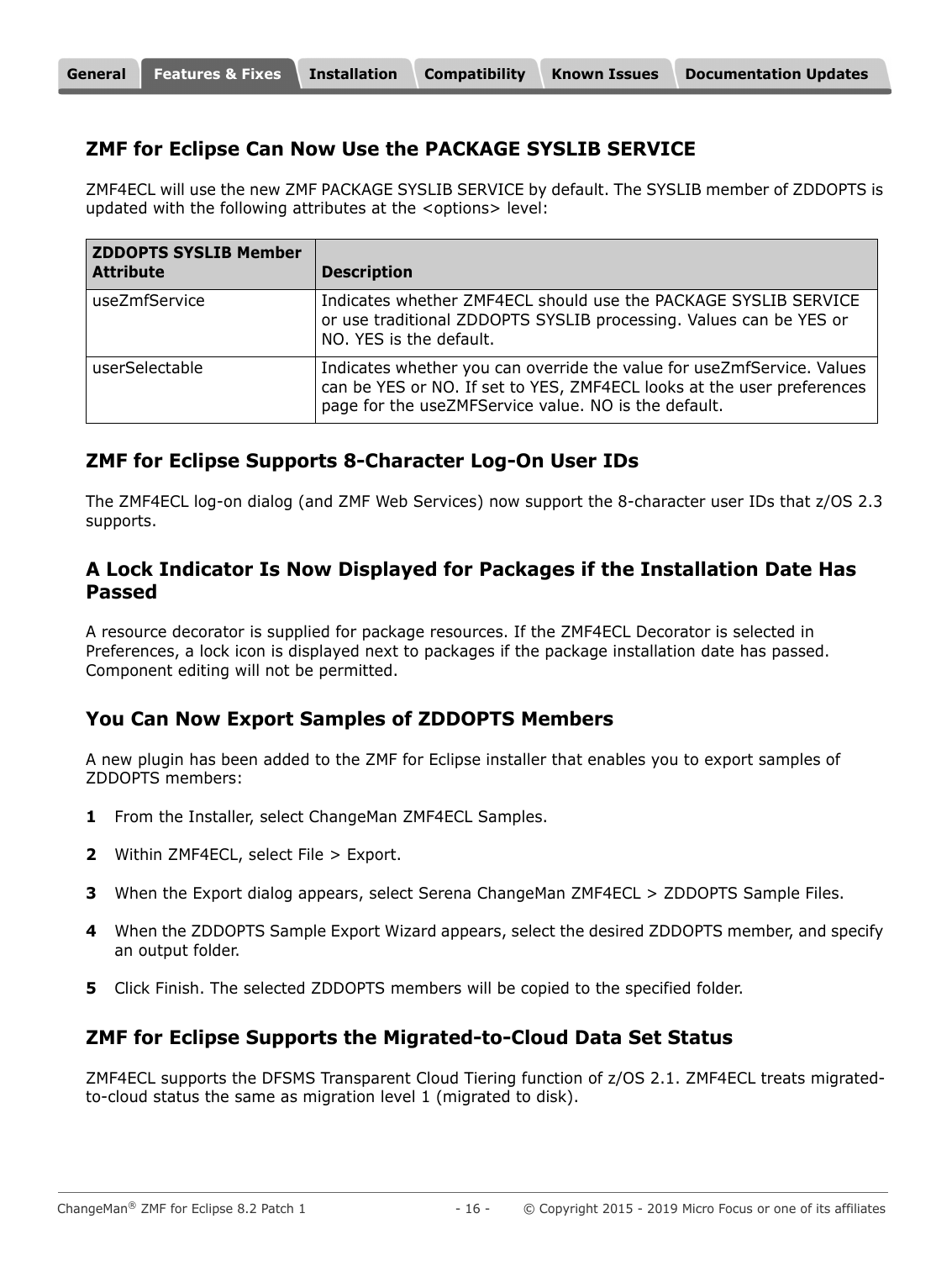#### **ZMF for Eclipse Can Now Use the PACKAGE SYSLIB SERVICE**

ZMF4ECL will use the new ZMF PACKAGE SYSLIB SERVICE by default. The SYSLIB member of ZDDOPTS is updated with the following attributes at the <options> level:

| <b>ZDDOPTS SYSLIB Member</b><br><b>Attribute</b> | <b>Description</b>                                                                                                                                                                                       |
|--------------------------------------------------|----------------------------------------------------------------------------------------------------------------------------------------------------------------------------------------------------------|
| useZmfService                                    | Indicates whether ZMF4ECL should use the PACKAGE SYSLIB SERVICE<br>or use traditional ZDDOPTS SYSLIB processing. Values can be YES or<br>NO. YES is the default.                                         |
| userSelectable                                   | Indicates whether you can override the value for useZmfService. Values<br>can be YES or NO. If set to YES, ZMF4ECL looks at the user preferences<br>page for the useZMFService value. NO is the default. |

#### **ZMF for Eclipse Supports 8-Character Log-On User IDs**

The ZMF4ECL log-on dialog (and ZMF Web Services) now support the 8-character user IDs that z/OS 2.3 supports.

#### **A Lock Indicator Is Now Displayed for Packages if the Installation Date Has Passed**

A resource decorator is supplied for package resources. If the ZMF4ECL Decorator is selected in Preferences, a lock icon is displayed next to packages if the package installation date has passed. Component editing will not be permitted.

#### **You Can Now Export Samples of ZDDOPTS Members**

A new plugin has been added to the ZMF for Eclipse installer that enables you to export samples of ZDDOPTS members:

- **1** From the Installer, select ChangeMan ZMF4ECL Samples.
- **2** Within ZMF4ECL, select File > Export.
- **3** When the Export dialog appears, select Serena ChangeMan ZMF4ECL > ZDDOPTS Sample Files.
- **4** When the ZDDOPTS Sample Export Wizard appears, select the desired ZDDOPTS member, and specify an output folder.
- **5** Click Finish. The selected ZDDOPTS members will be copied to the specified folder.

#### **ZMF for Eclipse Supports the Migrated-to-Cloud Data Set Status**

ZMF4ECL supports the DFSMS Transparent Cloud Tiering function of z/OS 2.1. ZMF4ECL treats migratedto-cloud status the same as migration level 1 (migrated to disk).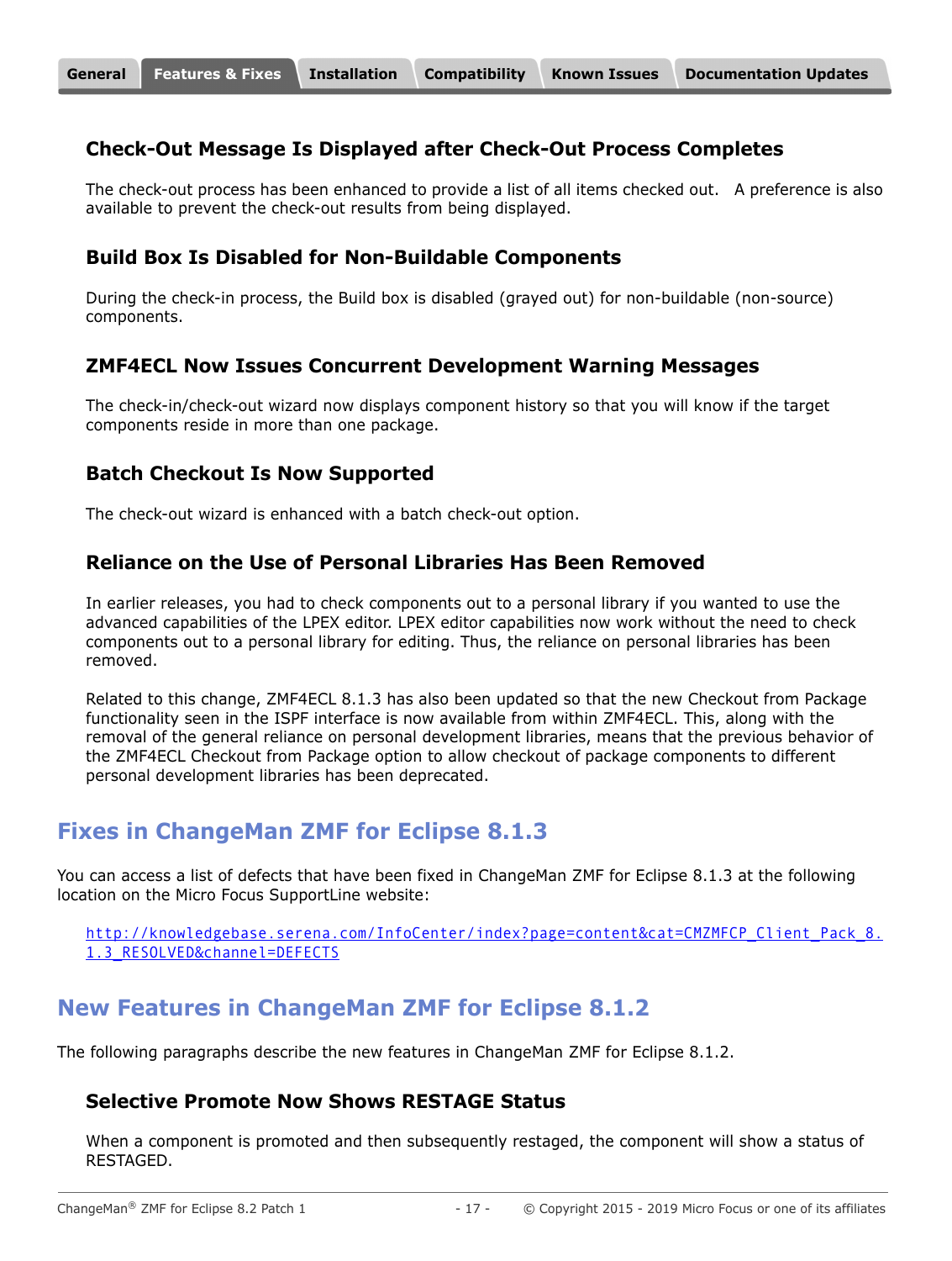#### **Check-Out Message Is Displayed after Check-Out Process Completes**

The check-out process has been enhanced to provide a list of all items checked out. A preference is also available to prevent the check-out results from being displayed.

#### **Build Box Is Disabled for Non-Buildable Components**

During the check-in process, the Build box is disabled (grayed out) for non-buildable (non-source) components.

#### **ZMF4ECL Now Issues Concurrent Development Warning Messages**

The check-in/check-out wizard now displays component history so that you will know if the target components reside in more than one package.

#### **Batch Checkout Is Now Supported**

The check-out wizard is enhanced with a batch check-out option.

#### **Reliance on the Use of Personal Libraries Has Been Removed**

In earlier releases, you had to check components out to a personal library if you wanted to use the advanced capabilities of the LPEX editor. LPEX editor capabilities now work without the need to check components out to a personal library for editing. Thus, the reliance on personal libraries has been removed.

Related to this change, ZMF4ECL 8.1.3 has also been updated so that the new Checkout from Package functionality seen in the ISPF interface is now available from within ZMF4ECL. This, along with the removal of the general reliance on personal development libraries, means that the previous behavior of the ZMF4ECL Checkout from Package option to allow checkout of package components to different personal development libraries has been deprecated.

### **Fixes in ChangeMan ZMF for Eclipse 8.1.3**

You can access a list of defects that have been fixed in ChangeMan ZMF for Eclipse 8.1.3 at the following location on the Micro Focus SupportLine website:

[http://knowledgebase.serena.com/InfoCenter/index?page=content&cat=CMZMFCP\\_Client\\_Pack\\_8.](http://knowledgebase.serena.com/InfoCenter/index?page=content&cat=CMZMFCP_Client_Pack_8.1.3_RESOLVED&channel=DEFECTS) 1.3\_RESOLVED&channel=DEFECTS

# **New Features in ChangeMan ZMF for Eclipse 8.1.2**

The following paragraphs describe the new features in ChangeMan ZMF for Eclipse 8.1.2.

#### **Selective Promote Now Shows RESTAGE Status**

When a component is promoted and then subsequently restaged, the component will show a status of RESTAGED.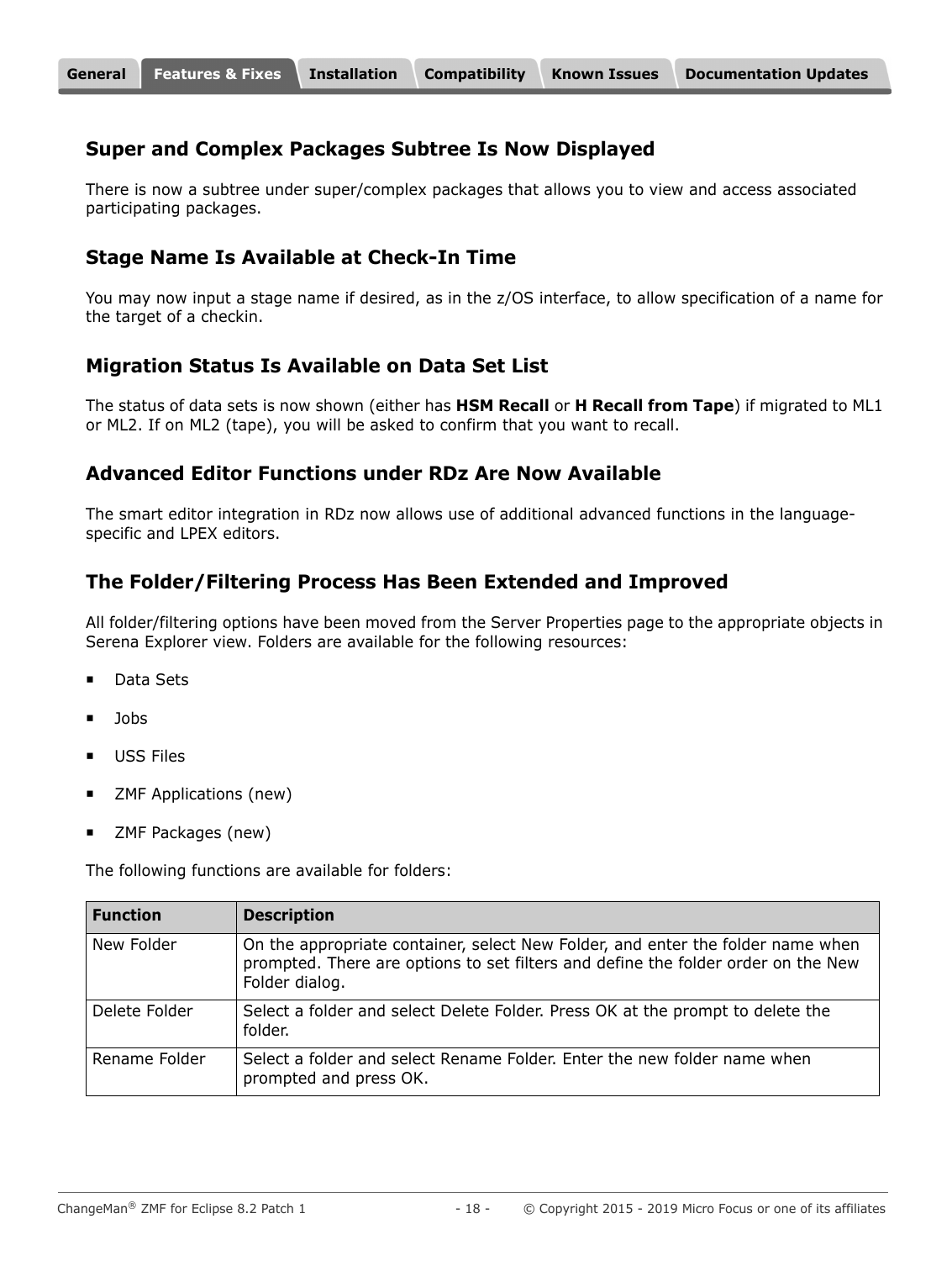#### **Super and Complex Packages Subtree Is Now Displayed**

There is now a subtree under super/complex packages that allows you to view and access associated participating packages.

### **Stage Name Is Available at Check-In Time**

You may now input a stage name if desired, as in the z/OS interface, to allow specification of a name for the target of a checkin.

### **Migration Status Is Available on Data Set List**

The status of data sets is now shown (either has **HSM Recall** or **H Recall from Tape**) if migrated to ML1 or ML2. If on ML2 (tape), you will be asked to confirm that you want to recall.

#### **Advanced Editor Functions under RDz Are Now Available**

The smart editor integration in RDz now allows use of additional advanced functions in the languagespecific and LPEX editors.

### **The Folder/Filtering Process Has Been Extended and Improved**

All folder/filtering options have been moved from the Server Properties page to the appropriate objects in Serena Explorer view. Folders are available for the following resources:

- Data Sets
- Jobs
- USS Files
- ZMF Applications (new)
- ZMF Packages (new)

The following functions are available for folders:

| <b>Function</b> | <b>Description</b>                                                                                                                                                                     |
|-----------------|----------------------------------------------------------------------------------------------------------------------------------------------------------------------------------------|
| New Folder      | On the appropriate container, select New Folder, and enter the folder name when<br>prompted. There are options to set filters and define the folder order on the New<br>Folder dialog. |
| Delete Folder   | Select a folder and select Delete Folder. Press OK at the prompt to delete the<br>folder.                                                                                              |
| Rename Folder   | Select a folder and select Rename Folder. Enter the new folder name when<br>prompted and press OK.                                                                                     |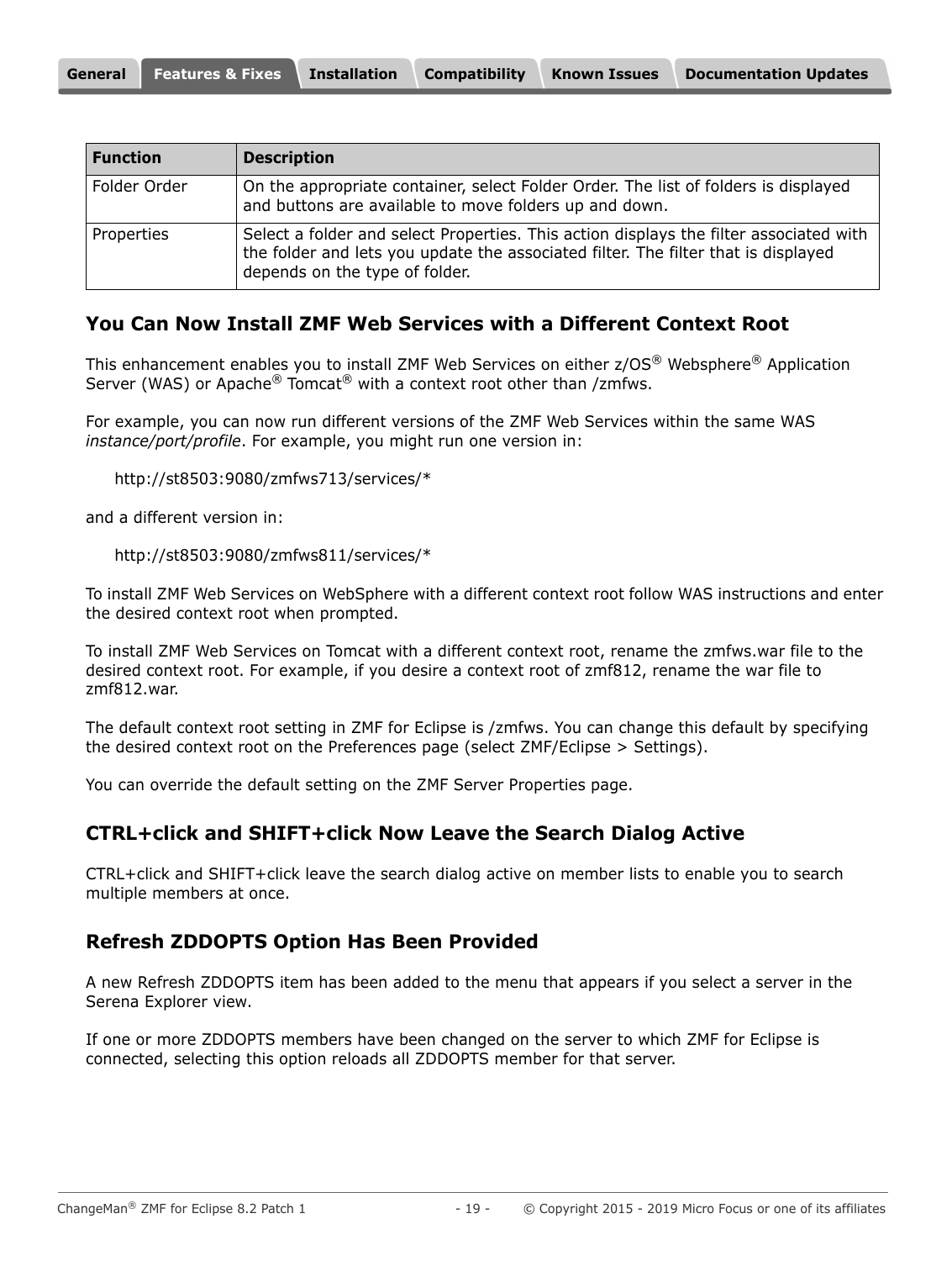| <b>Function</b> | <b>Description</b>                                                                                                                                                                                             |
|-----------------|----------------------------------------------------------------------------------------------------------------------------------------------------------------------------------------------------------------|
| Folder Order    | On the appropriate container, select Folder Order. The list of folders is displayed<br>and buttons are available to move folders up and down.                                                                  |
| Properties      | Select a folder and select Properties. This action displays the filter associated with<br>the folder and lets you update the associated filter. The filter that is displayed<br>depends on the type of folder. |

#### **You Can Now Install ZMF Web Services with a Different Context Root**

This enhancement enables you to install ZMF Web Services on either z/OS® Websphere® Application Server (WAS) or Apache<sup>®</sup> Tomcat<sup>®</sup> with a context root other than /zmfws.

For example, you can now run different versions of the ZMF Web Services within the same WAS *instance/port/profile*. For example, you might run one version in:

http://st8503:9080/zmfws713/services/\*

and a different version in:

```
http://st8503:9080/zmfws811/services/*
```
To install ZMF Web Services on WebSphere with a different context root follow WAS instructions and enter the desired context root when prompted.

To install ZMF Web Services on Tomcat with a different context root, rename the zmfws.war file to the desired context root. For example, if you desire a context root of zmf812, rename the war file to zmf812.war.

The default context root setting in ZMF for Eclipse is /zmfws. You can change this default by specifying the desired context root on the Preferences page (select ZMF/Eclipse > Settings).

You can override the default setting on the ZMF Server Properties page.

#### **CTRL+click and SHIFT+click Now Leave the Search Dialog Active**

CTRL+click and SHIFT+click leave the search dialog active on member lists to enable you to search multiple members at once.

#### **Refresh ZDDOPTS Option Has Been Provided**

A new Refresh ZDDOPTS item has been added to the menu that appears if you select a server in the Serena Explorer view.

If one or more ZDDOPTS members have been changed on the server to which ZMF for Eclipse is connected, selecting this option reloads all ZDDOPTS member for that server.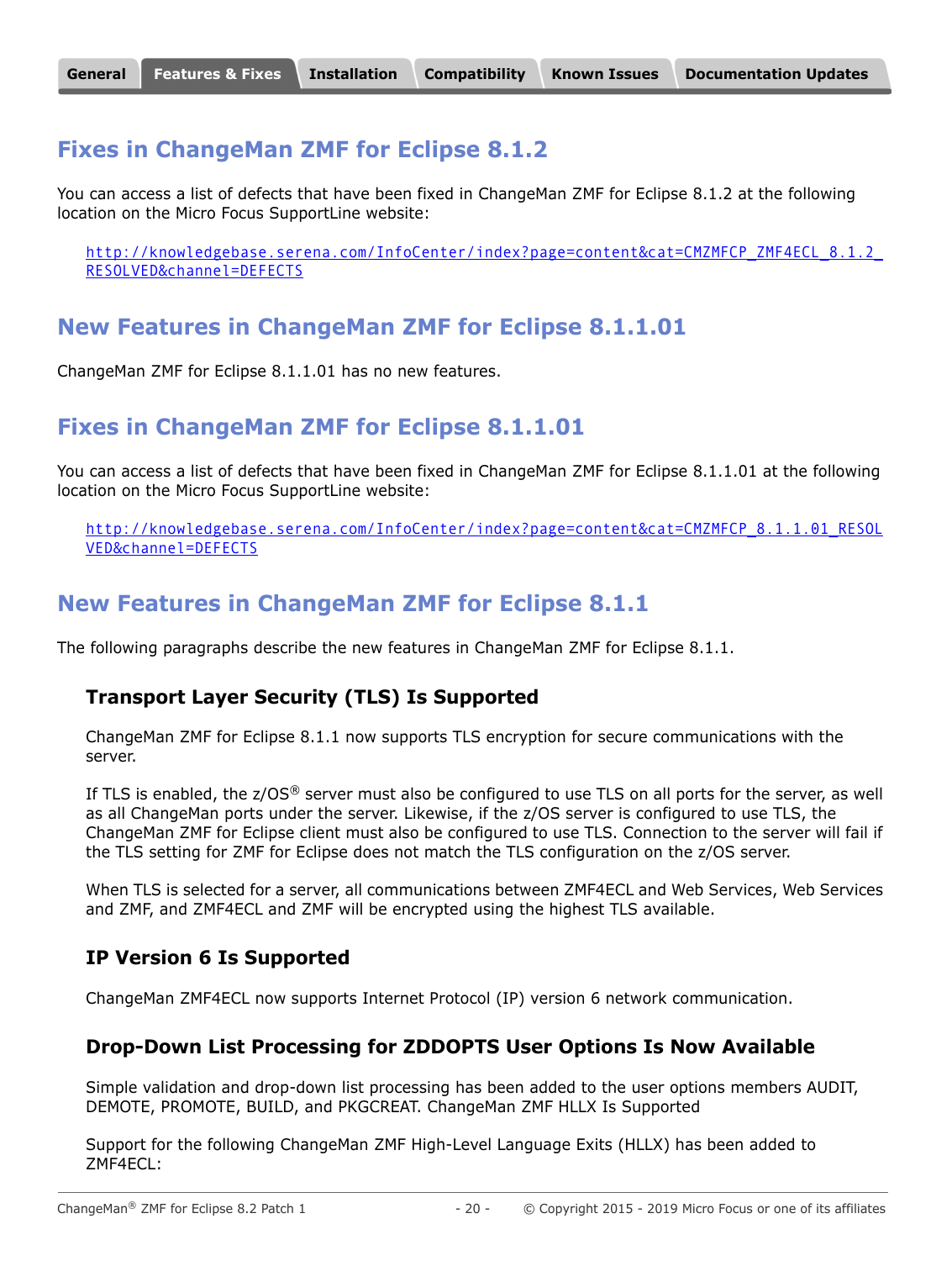### **Fixes in ChangeMan ZMF for Eclipse 8.1.2**

You can access a list of defects that have been fixed in ChangeMan ZMF for Eclipse 8.1.2 at the following location on the Micro Focus SupportLine website:

http://knowledgebase.serena.com/InfoCenter/index?page=content&cat=CMZMFCP\_ZMF4ECL\_8.1.2 RESOLVED&channel=DEFECTS

# **New Features in ChangeMan ZMF for Eclipse 8.1.1.01**

ChangeMan ZMF for Eclipse 8.1.1.01 has no new features.

# **Fixes in ChangeMan ZMF for Eclipse 8.1.1.01**

You can access a list of defects that have been fixed in ChangeMan ZMF for Eclipse 8.1.1.01 at the following location on the Micro Focus SupportLine website:

[http://knowledgebase.serena.com/InfoCenter/index?page=content&cat=CMZMFCP\\_8.1.1.01\\_RESOL](http://knowledgebase.serena.com/InfoCenter/index?page=content&cat=CMZMFCP_8.1.1.01_RESOLVED&channel=DEFECTS) VED&channel=DEFECTS

### **New Features in ChangeMan ZMF for Eclipse 8.1.1**

The following paragraphs describe the new features in ChangeMan ZMF for Eclipse 8.1.1.

#### **Transport Layer Security (TLS) Is Supported**

ChangeMan ZMF for Eclipse 8.1.1 now supports TLS encryption for secure communications with the server.

If TLS is enabled, the  $z/OS^{\circledast}$  server must also be configured to use TLS on all ports for the server, as well as all ChangeMan ports under the server. Likewise, if the z/OS server is configured to use TLS, the ChangeMan ZMF for Eclipse client must also be configured to use TLS. Connection to the server will fail if the TLS setting for ZMF for Eclipse does not match the TLS configuration on the z/OS server.

When TLS is selected for a server, all communications between ZMF4ECL and Web Services, Web Services and ZMF, and ZMF4ECL and ZMF will be encrypted using the highest TLS available.

#### **IP Version 6 Is Supported**

ChangeMan ZMF4ECL now supports Internet Protocol (IP) version 6 network communication.

#### **Drop-Down List Processing for ZDDOPTS User Options Is Now Available**

Simple validation and drop-down list processing has been added to the user options members AUDIT, DEMOTE, PROMOTE, BUILD, and PKGCREAT. ChangeMan ZMF HLLX Is Supported

Support for the following ChangeMan ZMF High-Level Language Exits (HLLX) has been added to ZMF4ECL: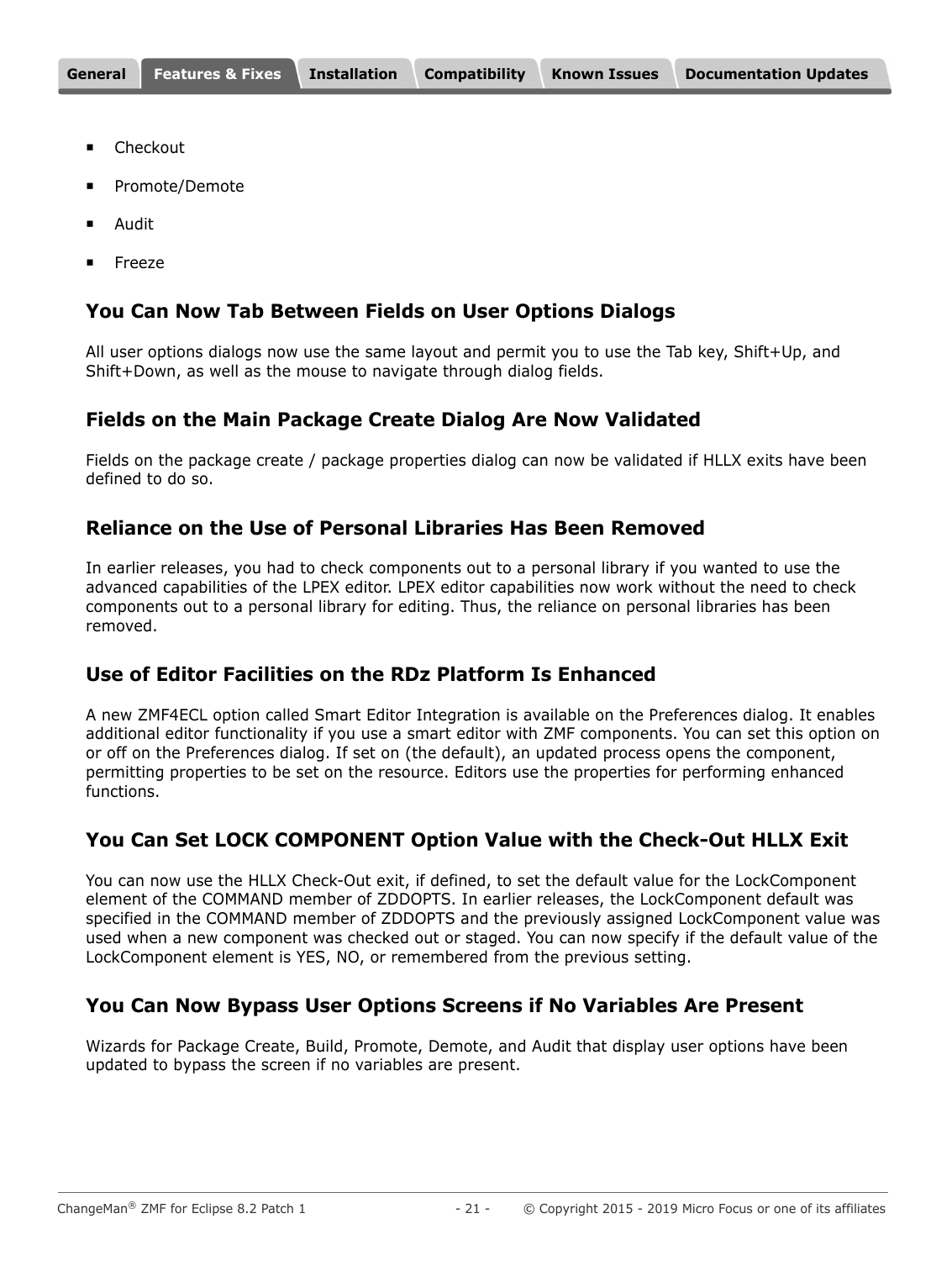- Checkout
- Promote/Demote
- Audit
- Freeze

#### **You Can Now Tab Between Fields on User Options Dialogs**

All user options dialogs now use the same layout and permit you to use the Tab key, Shift+Up, and Shift+Down, as well as the mouse to navigate through dialog fields.

#### **Fields on the Main Package Create Dialog Are Now Validated**

Fields on the package create / package properties dialog can now be validated if HLLX exits have been defined to do so.

#### **Reliance on the Use of Personal Libraries Has Been Removed**

In earlier releases, you had to check components out to a personal library if you wanted to use the advanced capabilities of the LPEX editor. LPEX editor capabilities now work without the need to check components out to a personal library for editing. Thus, the reliance on personal libraries has been removed.

### **Use of Editor Facilities on the RDz Platform Is Enhanced**

A new ZMF4ECL option called Smart Editor Integration is available on the Preferences dialog. It enables additional editor functionality if you use a smart editor with ZMF components. You can set this option on or off on the Preferences dialog. If set on (the default), an updated process opens the component, permitting properties to be set on the resource. Editors use the properties for performing enhanced functions.

#### **You Can Set LOCK COMPONENT Option Value with the Check-Out HLLX Exit**

You can now use the HLLX Check-Out exit, if defined, to set the default value for the LockComponent element of the COMMAND member of ZDDOPTS. In earlier releases, the LockComponent default was specified in the COMMAND member of ZDDOPTS and the previously assigned LockComponent value was used when a new component was checked out or staged. You can now specify if the default value of the LockComponent element is YES, NO, or remembered from the previous setting.

#### **You Can Now Bypass User Options Screens if No Variables Are Present**

Wizards for Package Create, Build, Promote, Demote, and Audit that display user options have been updated to bypass the screen if no variables are present.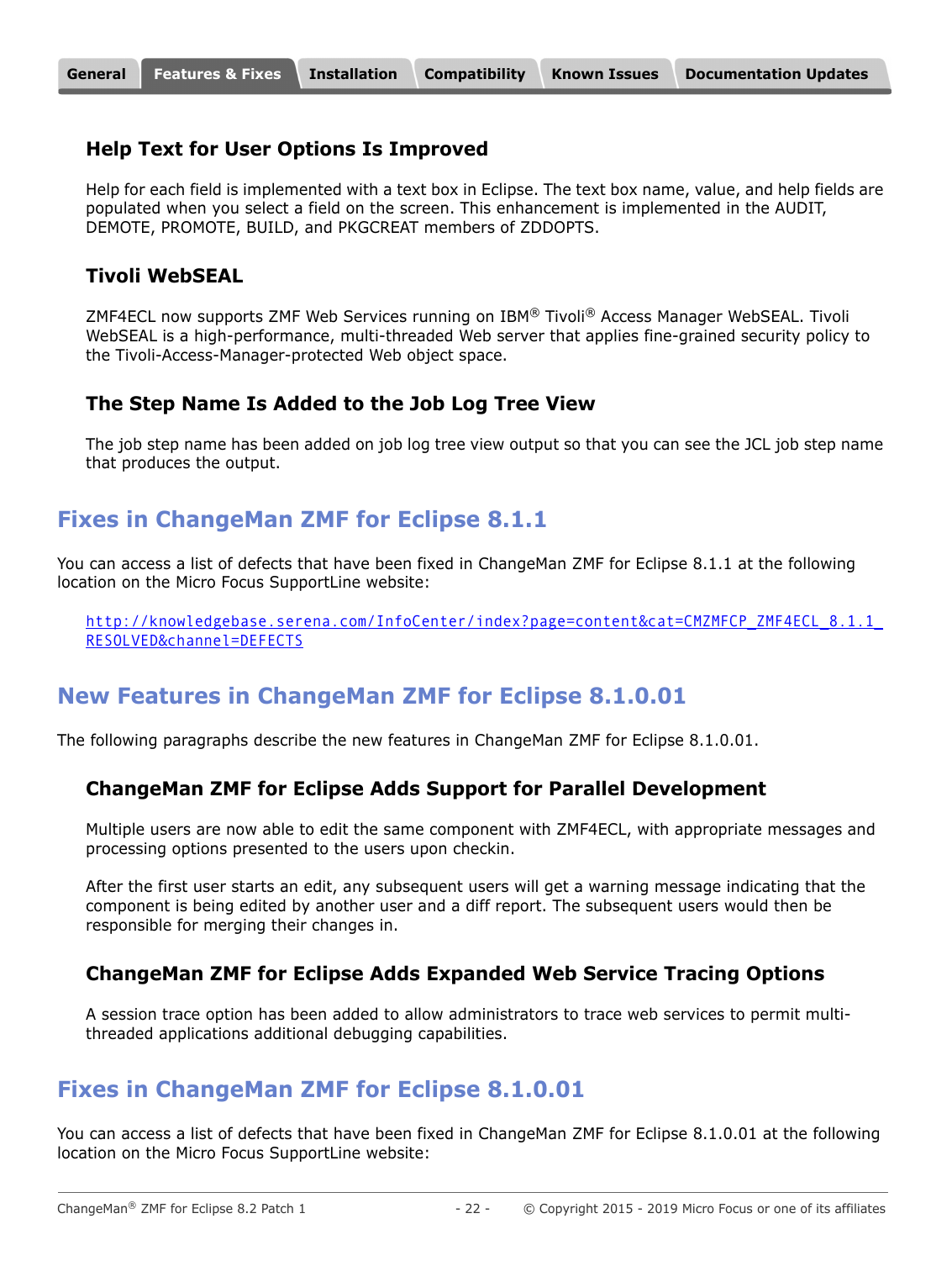#### **Help Text for User Options Is Improved**

Help for each field is implemented with a text box in Eclipse. The text box name, value, and help fields are populated when you select a field on the screen. This enhancement is implemented in the AUDIT, DEMOTE, PROMOTE, BUILD, and PKGCREAT members of ZDDOPTS.

#### **Tivoli WebSEAL**

ZMF4ECL now supports ZMF Web Services running on IBM® Tivoli® Access Manager WebSEAL. Tivoli WebSEAL is a high-performance, multi-threaded Web server that applies fine-grained security policy to the Tivoli-Access-Manager-protected Web object space.

#### **The Step Name Is Added to the Job Log Tree View**

The job step name has been added on job log tree view output so that you can see the JCL job step name that produces the output.

# **Fixes in ChangeMan ZMF for Eclipse 8.1.1**

You can access a list of defects that have been fixed in ChangeMan ZMF for Eclipse 8.1.1 at the following location on the Micro Focus SupportLine website:

http://knowledgebase.serena.com/InfoCenter/index?page=content&cat=CMZMFCP\_ZMF4ECL\_8.1.1 RESOLVED&channel=DEFECTS

# **New Features in ChangeMan ZMF for Eclipse 8.1.0.01**

The following paragraphs describe the new features in ChangeMan ZMF for Eclipse 8.1.0.01.

#### **ChangeMan ZMF for Eclipse Adds Support for Parallel Development**

Multiple users are now able to edit the same component with ZMF4ECL, with appropriate messages and processing options presented to the users upon checkin.

After the first user starts an edit, any subsequent users will get a warning message indicating that the component is being edited by another user and a diff report. The subsequent users would then be responsible for merging their changes in.

#### **ChangeMan ZMF for Eclipse Adds Expanded Web Service Tracing Options**

A session trace option has been added to allow administrators to trace web services to permit multithreaded applications additional debugging capabilities.

### **Fixes in ChangeMan ZMF for Eclipse 8.1.0.01**

You can access a list of defects that have been fixed in ChangeMan ZMF for Eclipse 8.1.0.01 at the following location on the Micro Focus SupportLine website: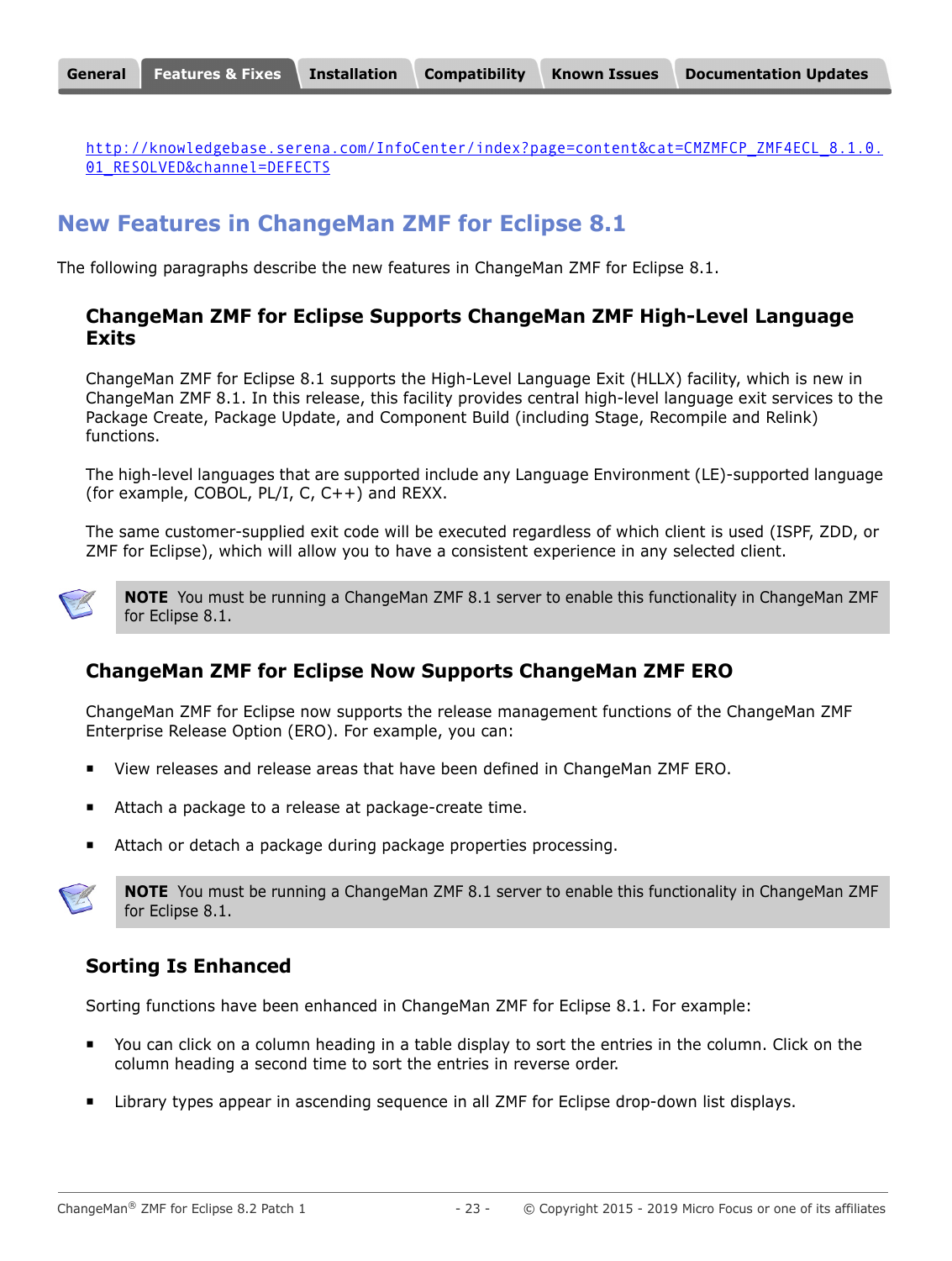[http://knowledgebase.serena.com/InfoCenter/index?page=content&cat=CMZMFCP\\_ZMF4ECL\\_8.1.0.](http://knowledgebase.serena.com/InfoCenter/index?page=content&cat=CMZMFCP_ZMF4ECL_8.1.0.01_RESOLVED&channel=DEFECTS) 01 RESOLVED&channel=DEFECTS

# **New Features in ChangeMan ZMF for Eclipse 8.1**

The following paragraphs describe the new features in ChangeMan ZMF for Eclipse 8.1.

#### **ChangeMan ZMF for Eclipse Supports ChangeMan ZMF High-Level Language Exits**

ChangeMan ZMF for Eclipse 8.1 supports the High-Level Language Exit (HLLX) facility, which is new in ChangeMan ZMF 8.1. In this release, this facility provides central high-level language exit services to the Package Create, Package Update, and Component Build (including Stage, Recompile and Relink) functions.

The high-level languages that are supported include any Language Environment (LE)-supported language (for example, COBOL, PL/I, C, C++) and REXX.

The same customer-supplied exit code will be executed regardless of which client is used (ISPF, ZDD, or ZMF for Eclipse), which will allow you to have a consistent experience in any selected client.



**NOTE** You must be running a ChangeMan ZMF 8.1 server to enable this functionality in ChangeMan ZMF for Eclipse 8.1.

### **ChangeMan ZMF for Eclipse Now Supports ChangeMan ZMF ERO**

ChangeMan ZMF for Eclipse now supports the release management functions of the ChangeMan ZMF Enterprise Release Option (ERO). For example, you can:

- View releases and release areas that have been defined in ChangeMan ZMF ERO.
- Attach a package to a release at package-create time.
- Attach or detach a package during package properties processing.



**NOTE** You must be running a ChangeMan ZMF 8.1 server to enable this functionality in ChangeMan ZMF for Eclipse 8.1.

### **Sorting Is Enhanced**

Sorting functions have been enhanced in ChangeMan ZMF for Eclipse 8.1. For example:

- You can click on a column heading in a table display to sort the entries in the column. Click on the column heading a second time to sort the entries in reverse order.
- Library types appear in ascending sequence in all ZMF for Eclipse drop-down list displays.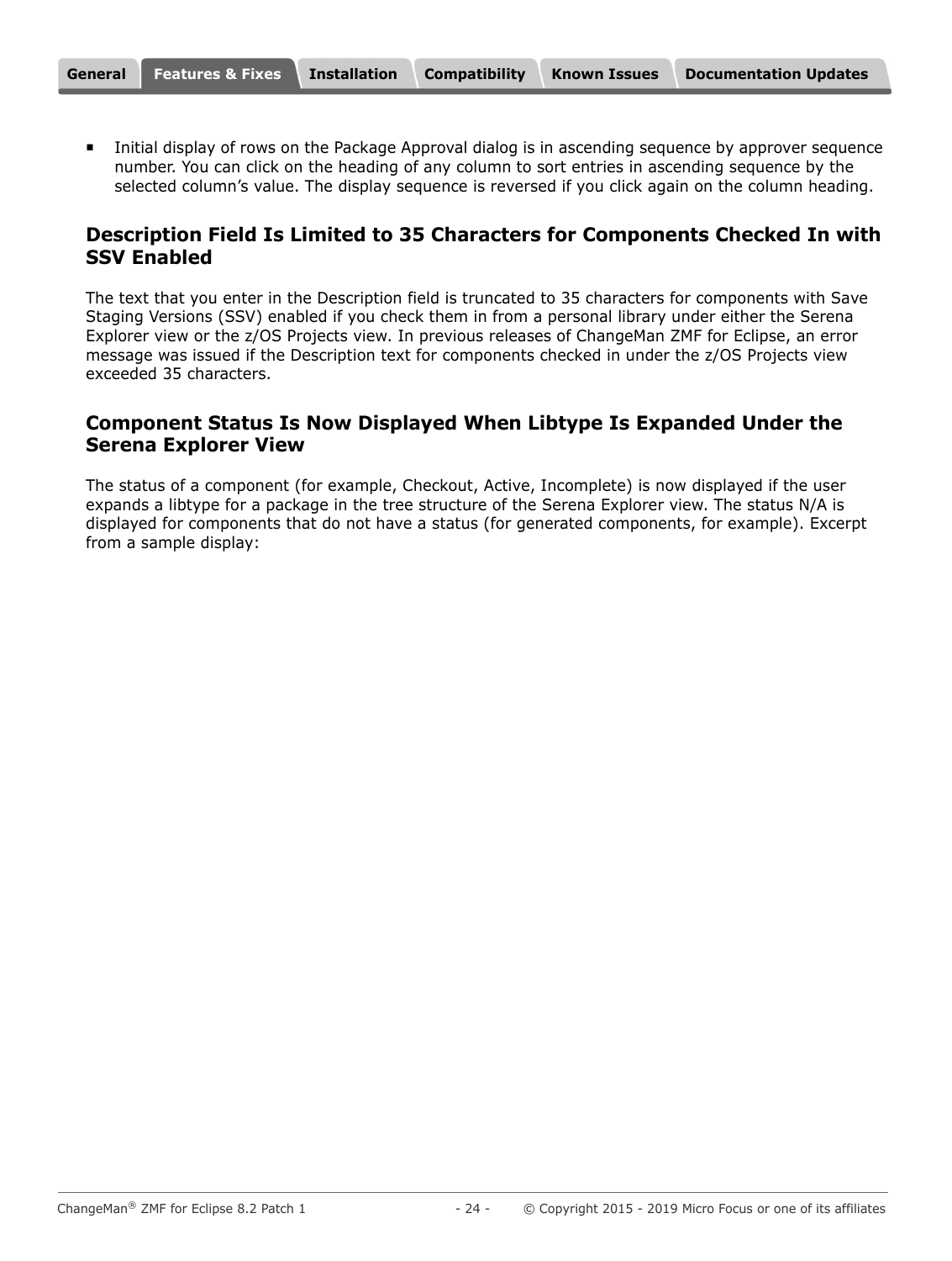Initial display of rows on the Package Approval dialog is in ascending sequence by approver sequence number. You can click on the heading of any column to sort entries in ascending sequence by the selected column's value. The display sequence is reversed if you click again on the column heading.

#### **Description Field Is Limited to 35 Characters for Components Checked In with SSV Enabled**

The text that you enter in the Description field is truncated to 35 characters for components with Save Staging Versions (SSV) enabled if you check them in from a personal library under either the Serena Explorer view or the z/OS Projects view. In previous releases of ChangeMan ZMF for Eclipse, an error message was issued if the Description text for components checked in under the z/OS Projects view exceeded 35 characters.

#### **Component Status Is Now Displayed When Libtype Is Expanded Under the Serena Explorer View**

The status of a component (for example, Checkout, Active, Incomplete) is now displayed if the user expands a libtype for a package in the tree structure of the Serena Explorer view. The status N/A is displayed for components that do not have a status (for generated components, for example). Excerpt from a sample display: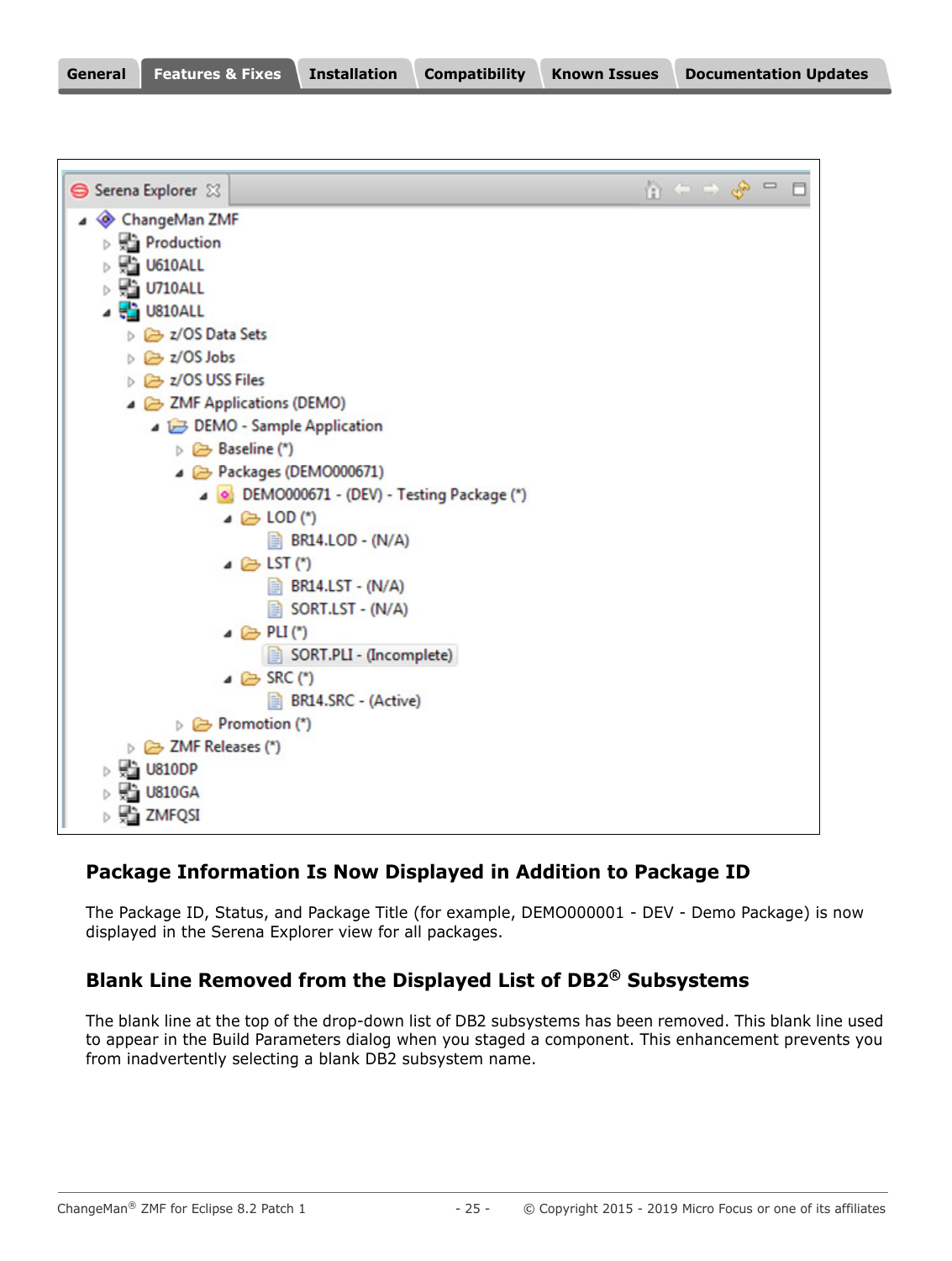| General | Features & Fixes Installation |  | <b>Compatibility</b> | <b>Known Issues</b> | <b>Documentation Updates</b> |
|---------|-------------------------------|--|----------------------|---------------------|------------------------------|
|---------|-------------------------------|--|----------------------|---------------------|------------------------------|

| Serena Explorer 23                                 |                                                   |  | $\mathbf{u}^{\mathbf{a}}$ |  |  |
|----------------------------------------------------|---------------------------------------------------|--|---------------------------|--|--|
| ChangeMan ZMF                                      |                                                   |  |                           |  |  |
| <b>Production</b>                                  |                                                   |  |                           |  |  |
| $\triangleright$ $\frac{1}{2}$ U610ALL             |                                                   |  |                           |  |  |
| $\triangleright$ $\frac{\square}{\square}$ U710ALL |                                                   |  |                           |  |  |
| $\frac{1}{2}$ U810ALL                              |                                                   |  |                           |  |  |
| ▷ 2/OS Data Sets                                   |                                                   |  |                           |  |  |
| ▷ <del></del> z/OS Jobs                            |                                                   |  |                           |  |  |
| $\triangleright$ $\triangleright$ z/OS USS Files   |                                                   |  |                           |  |  |
| ▲ 2MF Applications (DEMO)                          |                                                   |  |                           |  |  |
|                                                    | DEMO - Sample Application                         |  |                           |  |  |
| $\triangleright \implies$ Baseline (*)             |                                                   |  |                           |  |  |
|                                                    | Packages (DEMO000671)                             |  |                           |  |  |
|                                                    | DEMO000671 - (DEV) - Testing Package (*)          |  |                           |  |  |
|                                                    | $\triangle$ LOD (*)                               |  |                           |  |  |
|                                                    | <b>BR14.LOD - (N/A)</b>                           |  |                           |  |  |
|                                                    | $\triangle$ LST (*)                               |  |                           |  |  |
|                                                    | $\Rightarrow$ BR14.LST - (N/A)                    |  |                           |  |  |
|                                                    | SORT.LST - (N/A)                                  |  |                           |  |  |
|                                                    | $\triangle$ PLI(*)                                |  |                           |  |  |
|                                                    | SORT.PLI - (Incomplete)                           |  |                           |  |  |
|                                                    | $\triangle$ SRC (*)<br><b>BR14.SRC - (Active)</b> |  |                           |  |  |
| $\triangleright$ $\triangleright$ Promotion (*)    |                                                   |  |                           |  |  |
| DE ZMF Releases (*)                                |                                                   |  |                           |  |  |
| $\triangleright$ $\frac{1}{2}$ U810DP              |                                                   |  |                           |  |  |
| $\triangleright$ $\frac{1}{2}$ U810GA              |                                                   |  |                           |  |  |
| $\triangleright$ $\frac{1}{2}$ ZMFQSI              |                                                   |  |                           |  |  |
|                                                    |                                                   |  |                           |  |  |

# **Package Information Is Now Displayed in Addition to Package ID**

The Package ID, Status, and Package Title (for example, DEMO000001 - DEV - Demo Package) is now displayed in the Serena Explorer view for all packages.

# **Blank Line Removed from the Displayed List of DB2® Subsystems**

The blank line at the top of the drop-down list of DB2 subsystems has been removed. This blank line used to appear in the Build Parameters dialog when you staged a component. This enhancement prevents you from inadvertently selecting a blank DB2 subsystem name.

٦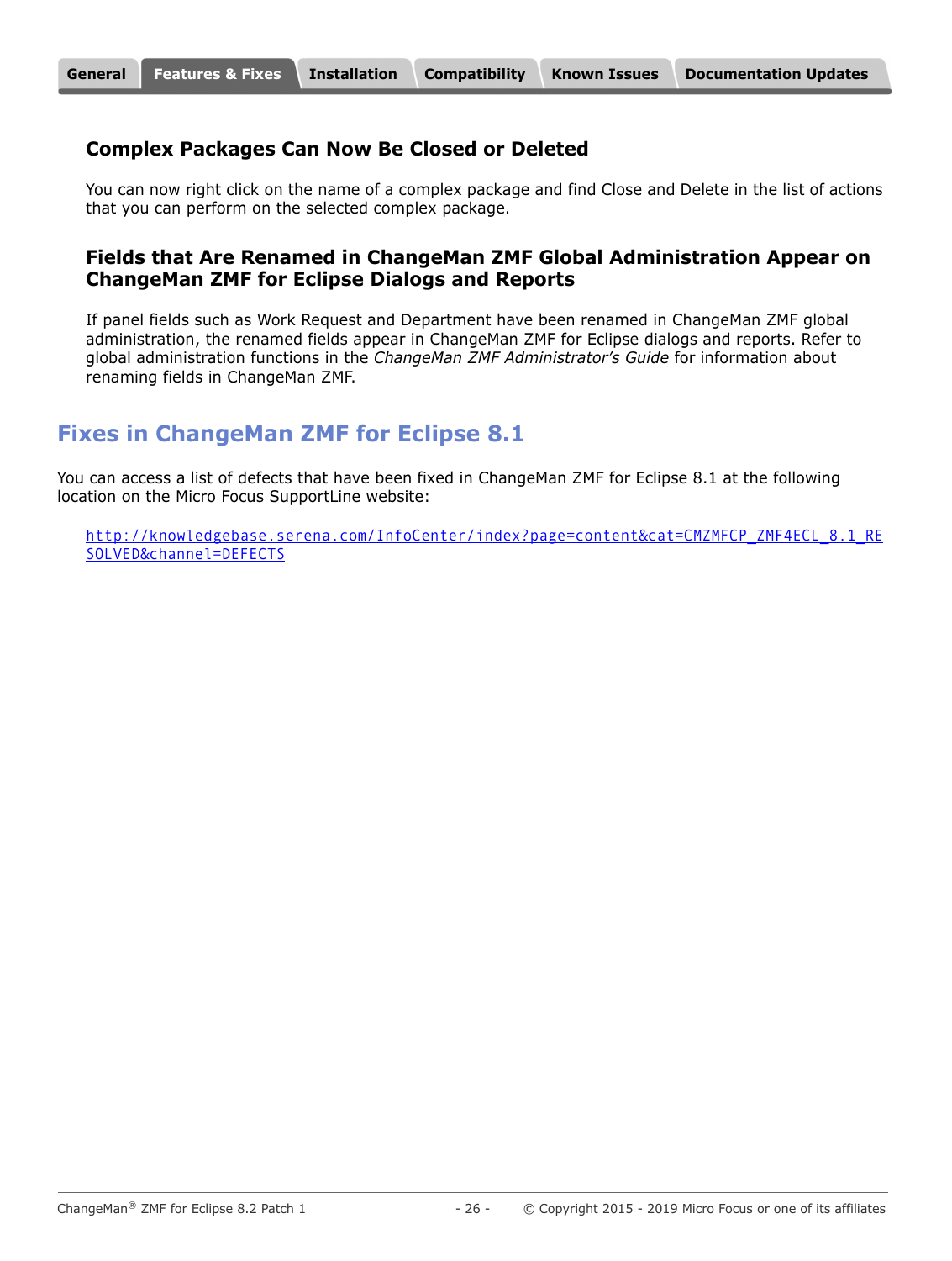#### **Complex Packages Can Now Be Closed or Deleted**

You can now right click on the name of a complex package and find Close and Delete in the list of actions that you can perform on the selected complex package.

#### **Fields that Are Renamed in ChangeMan ZMF Global Administration Appear on ChangeMan ZMF for Eclipse Dialogs and Reports**

If panel fields such as Work Request and Department have been renamed in ChangeMan ZMF global administration, the renamed fields appear in ChangeMan ZMF for Eclipse dialogs and reports. Refer to global administration functions in the *ChangeMan ZMF Administrator's Guide* for information about renaming fields in ChangeMan ZMF.

# **Fixes in ChangeMan ZMF for Eclipse 8.1**

You can access a list of defects that have been fixed in ChangeMan ZMF for Eclipse 8.1 at the following location on the Micro Focus SupportLine website:

[http://knowledgebase.serena.com/InfoCenter/index?page=content&cat=CMZMFCP\\_ZMF4ECL\\_8.1\\_RE](http://knowledgebase.serena.com/InfoCenter/index?page=content&cat=CMZMFCP_ZMF4ECL_8.1_RESOLVED&channel=DEFECTS) [SOLVED&channel=DEFECTS](http://knowledgebase.serena.com/InfoCenter/index?page=content&cat=CMZMFCP_ZMF4ECL_8.1_RESOLVED&channel=DEFECTS)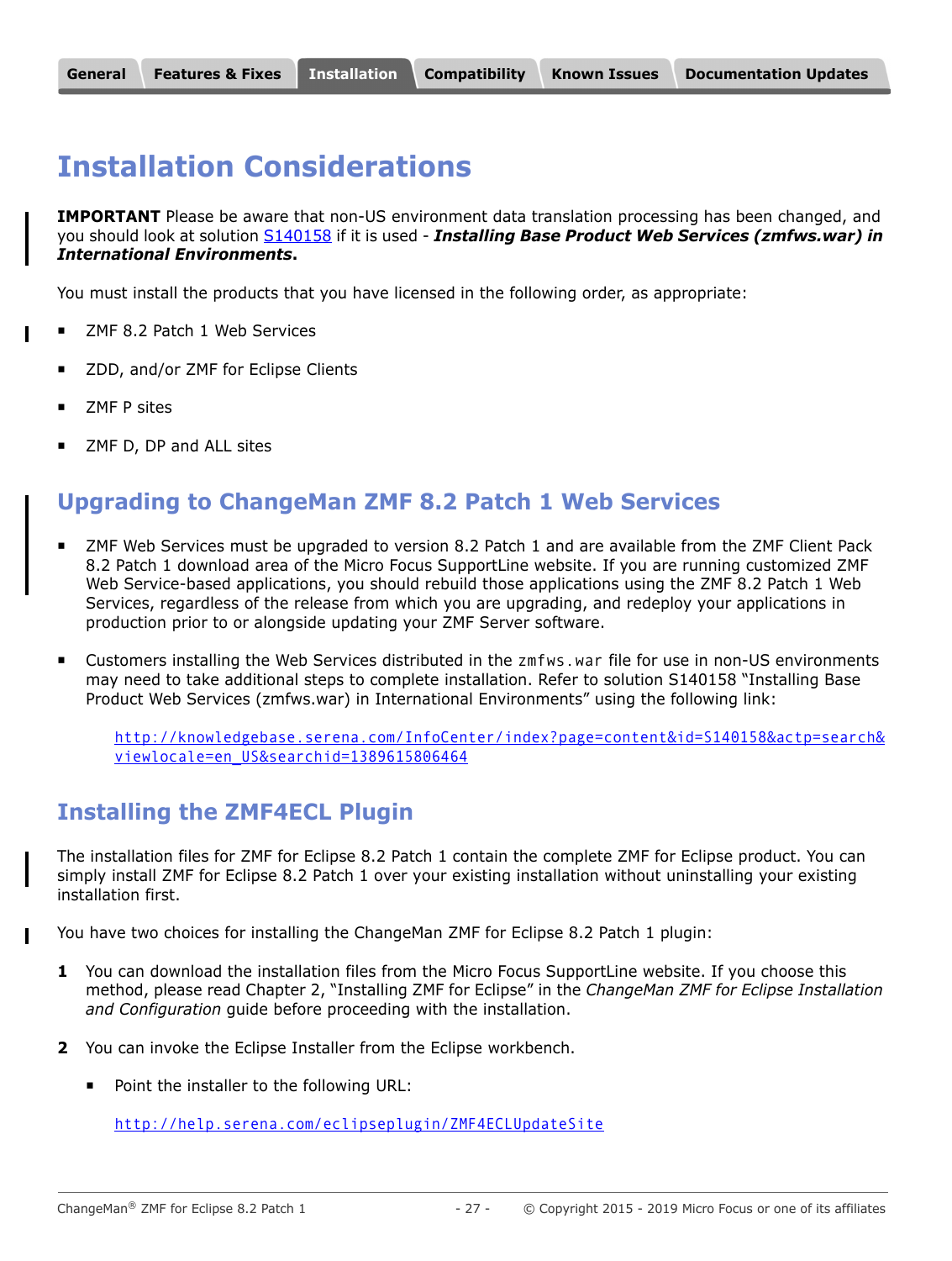# <span id="page-26-1"></span><span id="page-26-0"></span>**Installation Considerations**

**IMPORTANT** Please be aware that non-US environment data translation processing has been changed, and you should look at solution [S140158](http://knowledgebase.serena.com/InfoCenter/index?page=content&id=S140158) if it is used - *Installing Base Product Web Services (zmfws.war) in International Environments***.**

You must install the products that you have licensed in the following order, as appropriate:

- ZMF 8.2 Patch 1 Web Services
- ZDD, and/or ZMF for Eclipse Clients
- ZMF P sites
- ZMF D, DP and ALL sites

# **Upgrading to ChangeMan ZMF 8.2 Patch 1 Web Services**

- ZMF Web Services must be upgraded to version 8.2 Patch 1 and are available from the ZMF Client Pack 8.2 Patch 1 download area of the Micro Focus SupportLine website. If you are running customized ZMF Web Service-based applications, you should rebuild those applications using the ZMF 8.2 Patch 1 Web Services, regardless of the release from which you are upgrading, and redeploy your applications in production prior to or alongside updating your ZMF Server software.
- Customers installing the Web Services distributed in the zmfws.war file for use in non-US environments may need to take additional steps to complete installation. Refer to solution S140158 "Installing Base Product Web Services (zmfws.war) in International Environments" using the following link:

[http://knowledgebase.serena.com/InfoCenter/index?page=content&id=S140158&actp=search&](http://knowledgebase.serena.com/InfoCenter/index?page=content&id=S140158&actp=search&viewlocale=en_US&searchid=1389615806464) viewlocale=en\_US&searchid=1389615806464

# **Installing the ZMF4ECL Plugin**

The installation files for ZMF for Eclipse 8.2 Patch 1 contain the complete ZMF for Eclipse product. You can simply install ZMF for Eclipse 8.2 Patch 1 over your existing installation without uninstalling your existing installation first.

You have two choices for installing the ChangeMan ZMF for Eclipse 8.2 Patch 1 plugin:

- **1** You can download the installation files from the Micro Focus SupportLine website. If you choose this method, please read Chapter 2, "Installing ZMF for Eclipse" in the *ChangeMan ZMF for Eclipse Installation and Configuration* guide before proceeding with the installation.
- **2** You can invoke the Eclipse Installer from the Eclipse workbench.
	- **Point the installer to the following URL:**

<http://help.serena.com/eclipseplugin/ZMF4ECLUpdateSite>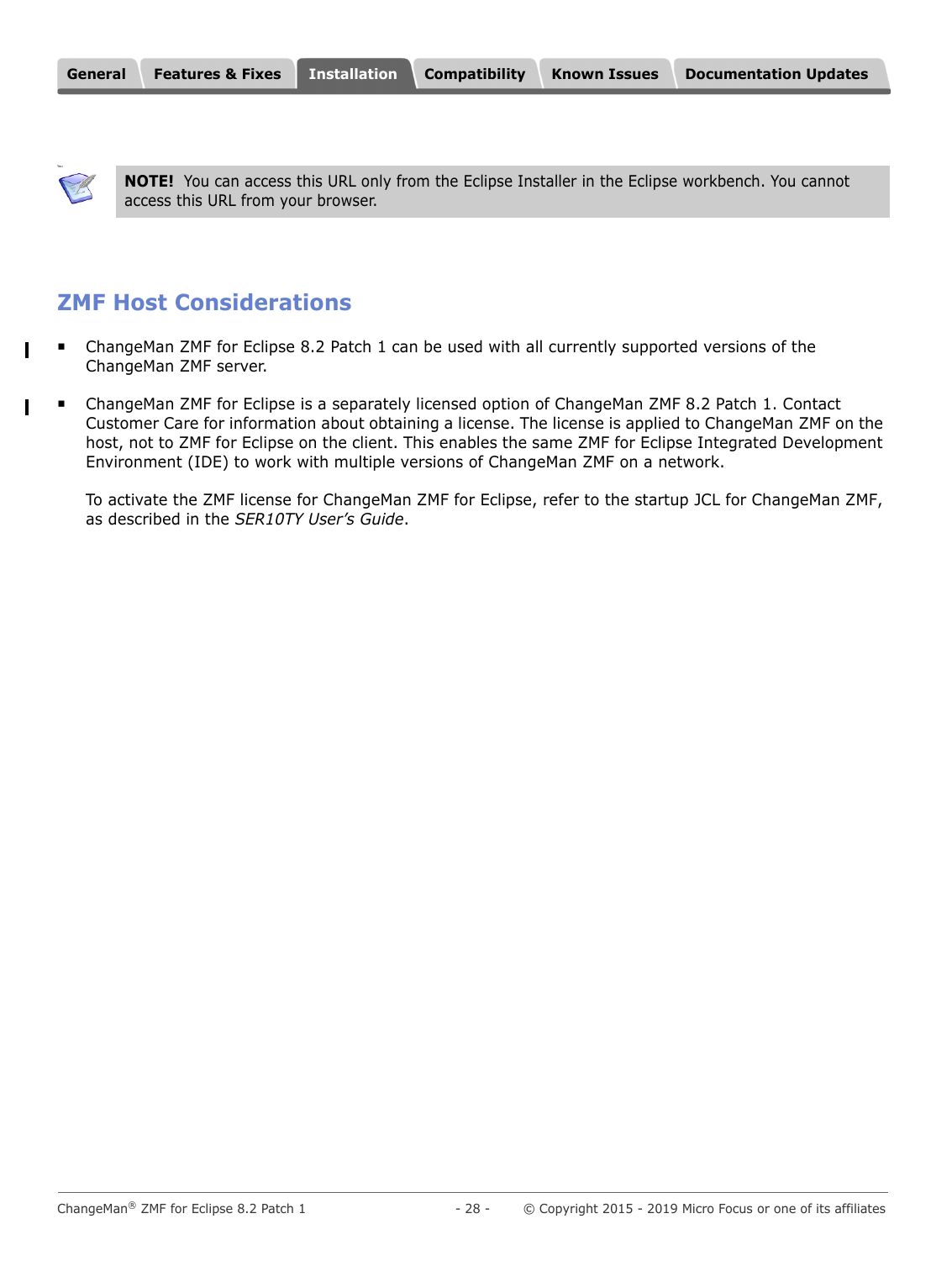You

 $\mathbf{I}$ 

**NOTE!** You can access this URL only from the Eclipse Installer in the Eclipse workbench. You cannot access this URL from your browser.

# **ZMF Host Considerations**

- ChangeMan ZMF for Eclipse 8.2 Patch 1 can be used with all currently supported versions of the ChangeMan ZMF server.
- ChangeMan ZMF for Eclipse is a separately licensed option of ChangeMan ZMF 8.2 Patch 1. Contact Customer Care for information about obtaining a license. The license is applied to ChangeMan ZMF on the host, not to ZMF for Eclipse on the client. This enables the same ZMF for Eclipse Integrated Development Environment (IDE) to work with multiple versions of ChangeMan ZMF on a network.

To activate the ZMF license for ChangeMan ZMF for Eclipse, refer to the startup JCL for ChangeMan ZMF, as described in the *SER10TY User's Guide*.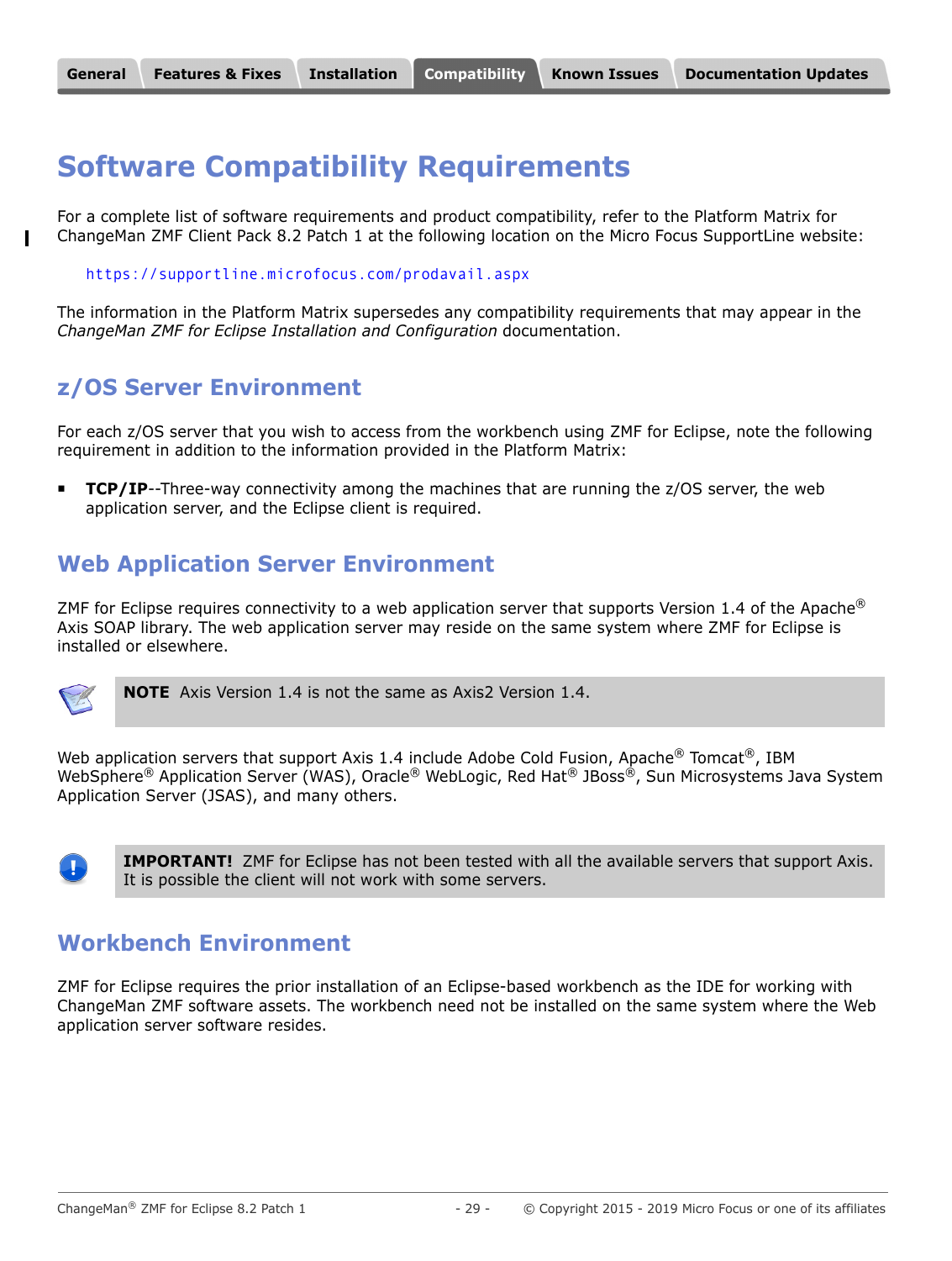# <span id="page-28-0"></span>**Software Compatibility Requirements**

For a complete list of software requirements and product compatibility, refer to the Platform Matrix for ChangeMan ZMF Client Pack 8.2 Patch 1 at the following location on the Micro Focus SupportLine website:

<https://supportline.microfocus.com/prodavail.aspx>

The information in the Platform Matrix supersedes any compatibility requirements that may appear in the *ChangeMan ZMF for Eclipse Installation and Configuration* documentation.

# **z/OS Server Environment**

For each z/OS server that you wish to access from the workbench using ZMF for Eclipse, note the following requirement in addition to the information provided in the Platform Matrix:

**TCP/IP**--Three-way connectivity among the machines that are running the z/OS server, the web application server, and the Eclipse client is required.

# **Web Application Server Environment**

ZMF for Eclipse requires connectivity to a web application server that supports Version 1.4 of the Apache<sup>®</sup> Axis SOAP library. The web application server may reside on the same system where ZMF for Eclipse is installed or elsewhere.



**NOTE** Axis Version 1.4 is not the same as Axis2 Version 1.4.

Web application servers that support Axis 1.4 include Adobe Cold Fusion, Apache $^{\circledR}$  Tomcat $^{\circledR}$ , IBM WebSphere® Application Server (WAS), Oracle® WebLogic, Red Hat® JBoss®, Sun Microsystems Java System Application Server (JSAS), and many others.



**IMPORTANT!** ZMF for Eclipse has not been tested with all the available servers that support Axis. It is possible the client will not work with some servers.

# **Workbench Environment**

ZMF for Eclipse requires the prior installation of an Eclipse-based workbench as the IDE for working with ChangeMan ZMF software assets. The workbench need not be installed on the same system where the Web application server software resides.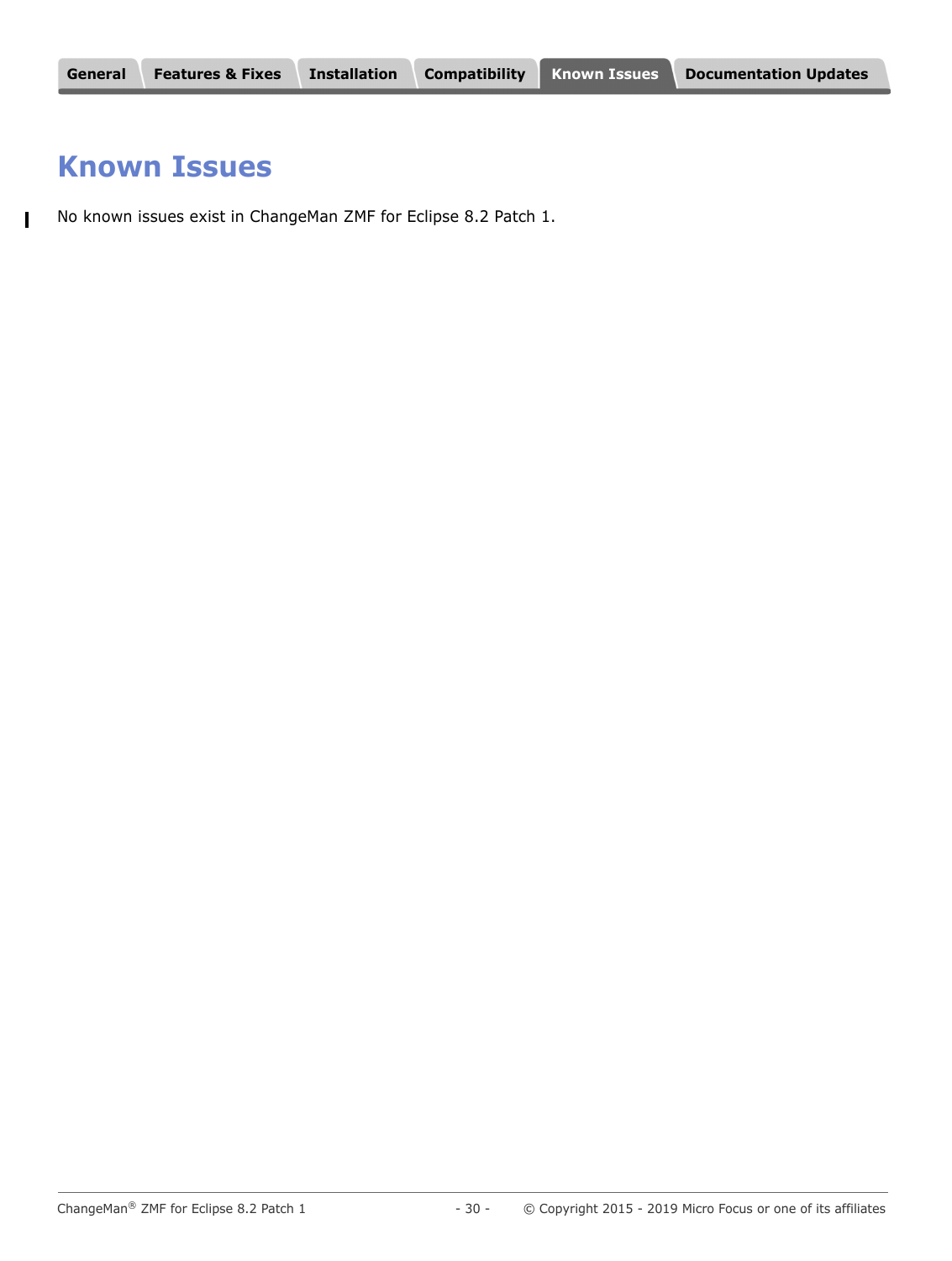# <span id="page-29-0"></span>**Known Issues**

No known issues exist in ChangeMan ZMF for Eclipse 8.2 Patch 1. $\mathbf{I}$